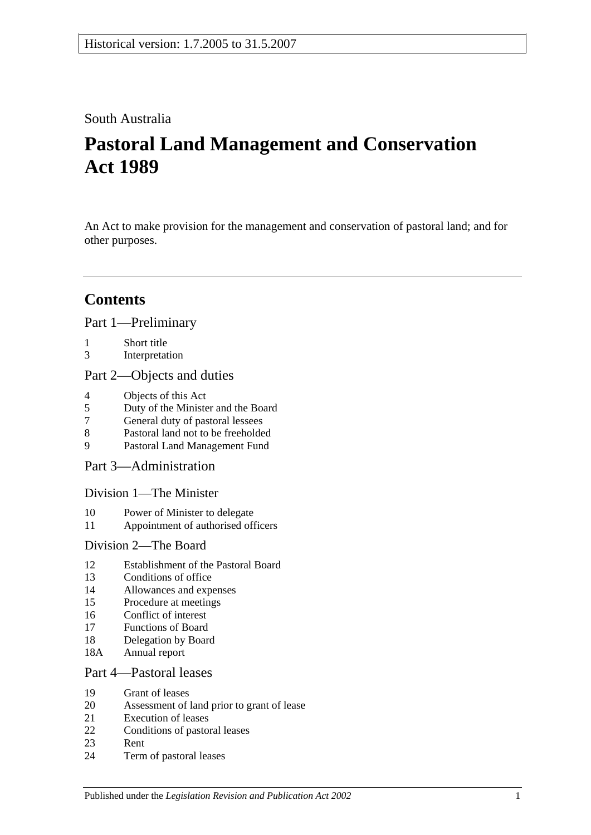# South Australia

# **Pastoral Land Management and Conservation Act 1989**

An Act to make provision for the management and conservation of pastoral land; and for other purposes.

# **Contents**

[Part 1—Preliminary](#page-2-0)

- 1 [Short title](#page-2-1)
- 3 [Interpretation](#page-2-2)

## [Part 2—Objects and duties](#page-4-0)

- 4 [Objects of this Act](#page-4-1)<br>5 Duty of the Minister
- 5 [Duty of the Minister and the Board](#page-4-2)
- 7 [General duty of pastoral lessees](#page-5-0)
- 8 [Pastoral land not to be freeholded](#page-5-1)
- 9 [Pastoral Land Management Fund](#page-5-2)

[Part 3—Administration](#page-6-0)

[Division 1—The Minister](#page-6-1)

- 10 [Power of Minister to delegate](#page-6-2)
- 11 [Appointment of authorised officers](#page-6-3)

## [Division 2—The Board](#page-6-4)

- 12 [Establishment of the Pastoral Board](#page-6-5)
- 13 [Conditions of office](#page-7-0)
- 14 [Allowances and expenses](#page-8-0)
- 15 [Procedure at meetings](#page-8-1)
- 16 [Conflict of interest](#page-8-2)
- 17 [Functions of Board](#page-9-0)
- 18 [Delegation by Board](#page-10-0)
- 18A [Annual report](#page-10-1)

## [Part 4—Pastoral leases](#page-10-2)

- 19 [Grant of leases](#page-10-3)
- 20 [Assessment of land prior to grant of lease](#page-11-0)
- 21 [Execution of leases](#page-11-1)
- 22 [Conditions of pastoral leases](#page-11-2)
- 23 [Rent](#page-13-0)
- 24 [Term of pastoral leases](#page-14-0)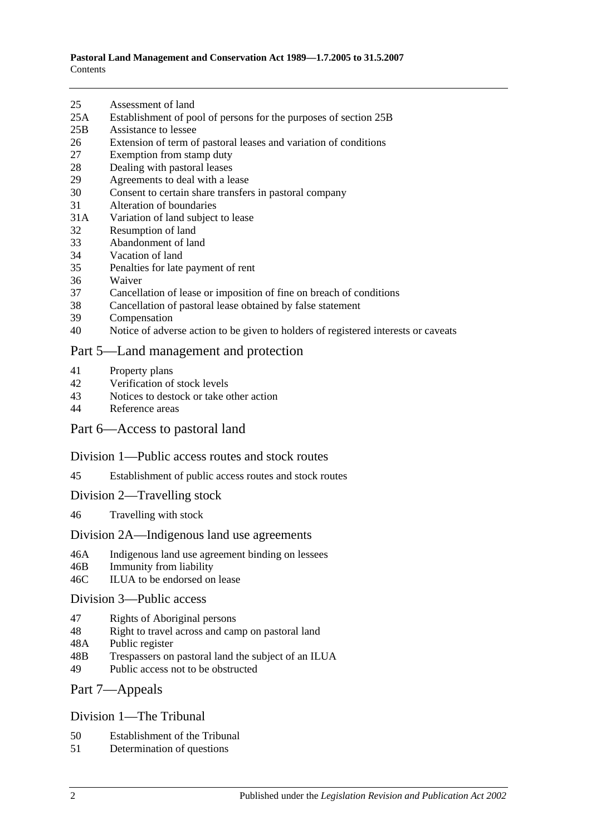- 25 [Assessment of land](#page-15-0)
- 25A [Establishment of pool of persons for the purposes of section](#page-15-1) 25B
- 25B [Assistance to lessee](#page-16-0)
- 26 [Extension of term of pastoral leases and variation of conditions](#page-17-0)
- 27 [Exemption from stamp duty](#page-17-1)
- 28 [Dealing with pastoral leases](#page-18-0)
- 29 [Agreements to deal with a lease](#page-18-1)
- 30 [Consent to certain share transfers in pastoral company](#page-18-2)
- 31 [Alteration of boundaries](#page-19-0)
- 31A [Variation of land subject to lease](#page-19-1)
- 32 [Resumption of land](#page-19-2)
- 33 [Abandonment of land](#page-20-0)
- 34 [Vacation of land](#page-20-1)
- 35 [Penalties for late payment of rent](#page-20-2)
- 36 [Waiver](#page-20-3)
- 37 [Cancellation of lease or imposition of fine on breach of conditions](#page-21-0)
- 38 [Cancellation of pastoral lease obtained by false statement](#page-21-1)
- 39 [Compensation](#page-21-2)
- 40 [Notice of adverse action to be given to holders of registered interests or caveats](#page-22-0)

### [Part 5—Land management and protection](#page-22-1)

- 41 [Property plans](#page-22-2)
- 42 [Verification of stock levels](#page-23-0)
- 43 [Notices to destock or take other action](#page-24-0)<br>44 Reference areas
- [Reference areas](#page-24-1)

### [Part 6—Access to pastoral land](#page-25-0)

#### [Division 1—Public access routes and stock routes](#page-25-1)

- 45 [Establishment of public access routes and stock routes](#page-25-2)
- [Division 2—Travelling stock](#page-26-0)
- 46 [Travelling with stock](#page-26-1)

#### [Division 2A—Indigenous land use agreements](#page-27-0)

- 46A [Indigenous land use agreement binding on lessees](#page-27-1)
- 46B [Immunity from liability](#page-27-2)
- 46C [ILUA to be endorsed on lease](#page-28-0)

### [Division 3—Public access](#page-28-1)

- 47 [Rights of Aboriginal persons](#page-28-2)
- 48 [Right to travel across and camp on pastoral land](#page-29-0)
- 48A [Public register](#page-30-0)
- 48B [Trespassers on pastoral land the subject of an ILUA](#page-31-0)
- 49 [Public access not to be obstructed](#page-31-1)

### [Part 7—Appeals](#page-32-0)

### [Division 1—The Tribunal](#page-32-1)

- 50 [Establishment of the Tribunal](#page-32-2)
- 51 [Determination](#page-32-3) of questions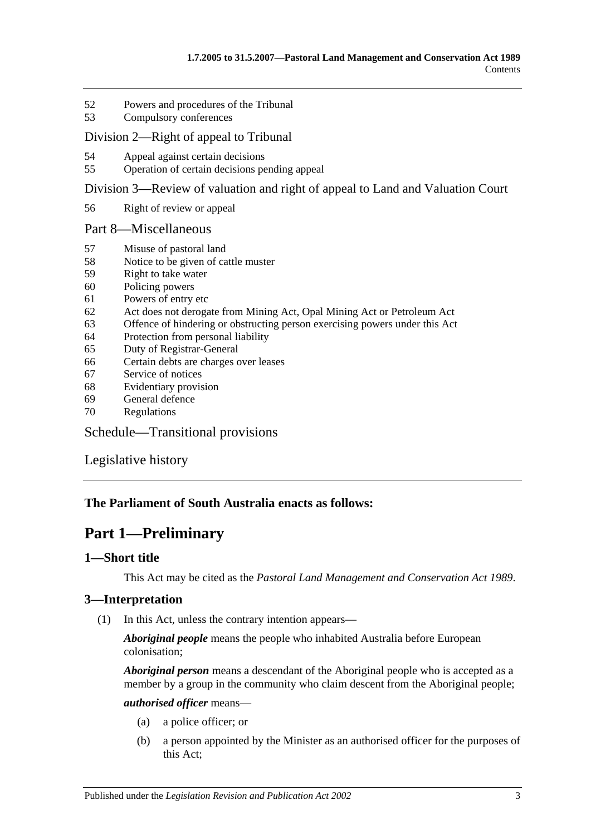- 52 [Powers and procedures of the Tribunal](#page-32-4)
- 53 [Compulsory conferences](#page-34-0)

### [Division 2—Right of appeal to Tribunal](#page-34-1)

- 54 [Appeal against certain decisions](#page-34-2)
- 55 [Operation of certain decisions pending appeal](#page-34-3)

[Division 3—Review of valuation and right of appeal to Land and Valuation Court](#page-35-0)

56 [Right of review or appeal](#page-35-1)

### [Part 8—Miscellaneous](#page-35-2)

- 57 [Misuse of pastoral land](#page-35-3)
- 58 [Notice to be given of cattle muster](#page-36-0)
- 59 [Right to take water](#page-36-1)
- 60 [Policing powers](#page-37-0)
- 61 [Powers of entry etc](#page-37-1)
- 62 [Act does not derogate from Mining Act, Opal Mining Act or Petroleum Act](#page-38-0)
- 63 [Offence of hindering or obstructing person exercising powers under this Act](#page-38-1)
- 64 [Protection from personal liability](#page-38-2)
- 65 [Duty of Registrar-General](#page-38-3)
- 66 [Certain debts are charges over leases](#page-38-4)
- 67 [Service of notices](#page-39-0)
- 68 [Evidentiary provision](#page-39-1)
- 69 [General defence](#page-39-2)
- 70 [Regulations](#page-39-3)

[Schedule—Transitional provisions](#page-40-0)

[Legislative history](#page-42-0)

## <span id="page-2-0"></span>**The Parliament of South Australia enacts as follows:**

# **Part 1—Preliminary**

## <span id="page-2-1"></span>**1—Short title**

This Act may be cited as the *Pastoral Land Management and Conservation Act 1989*.

## <span id="page-2-3"></span><span id="page-2-2"></span>**3—Interpretation**

(1) In this Act, unless the contrary intention appears—

*Aboriginal people* means the people who inhabited Australia before European colonisation;

*Aboriginal person* means a descendant of the Aboriginal people who is accepted as a member by a group in the community who claim descent from the Aboriginal people;

### *authorised officer* means—

- (a) a police officer; or
- (b) a person appointed by the Minister as an authorised officer for the purposes of this Act;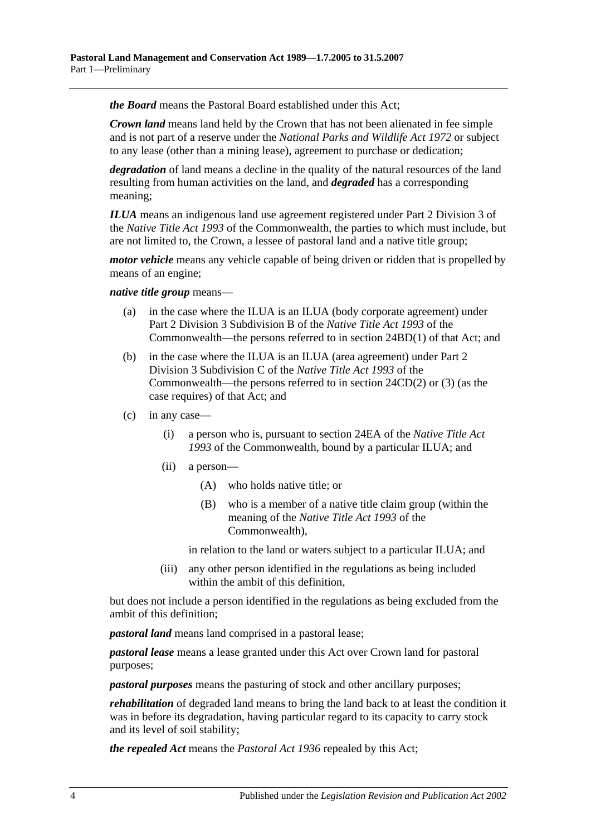*the Board* means the Pastoral Board established under this Act;

*Crown land* means land held by the Crown that has not been alienated in fee simple and is not part of a reserve under the *[National Parks and Wildlife Act](http://www.legislation.sa.gov.au/index.aspx?action=legref&type=act&legtitle=National%20Parks%20and%20Wildlife%20Act%201972) 1972* or subject to any lease (other than a mining lease), agreement to purchase or dedication;

*degradation* of land means a decline in the quality of the natural resources of the land resulting from human activities on the land, and *degraded* has a corresponding meaning;

*ILUA* means an indigenous land use agreement registered under Part 2 Division 3 of the *Native Title Act 1993* of the Commonwealth, the parties to which must include, but are not limited to, the Crown, a lessee of pastoral land and a native title group;

*motor vehicle* means any vehicle capable of being driven or ridden that is propelled by means of an engine;

### *native title group* means—

- (a) in the case where the ILUA is an ILUA (body corporate agreement) under Part 2 Division 3 Subdivision B of the *Native Title Act 1993* of the Commonwealth—the persons referred to in section 24BD(1) of that Act; and
- (b) in the case where the ILUA is an ILUA (area agreement) under Part 2 Division 3 Subdivision C of the *Native Title Act 1993* of the Commonwealth—the persons referred to in section 24CD(2) or (3) (as the case requires) of that Act; and
- <span id="page-3-0"></span>(c) in any case—
	- (i) a person who is, pursuant to section 24EA of the *Native Title Act 1993* of the Commonwealth, bound by a particular ILUA; and
	- (ii) a person—
		- (A) who holds native title; or
		- (B) who is a member of a native title claim group (within the meaning of the *Native Title Act 1993* of the Commonwealth),

in relation to the land or waters subject to a particular ILUA; and

(iii) any other person identified in the regulations as being included within the ambit of this definition,

but does not include a person identified in the regulations as being excluded from the ambit of this definition;

*pastoral land* means land comprised in a pastoral lease;

*pastoral lease* means a lease granted under this Act over Crown land for pastoral purposes;

*pastoral purposes* means the pasturing of stock and other ancillary purposes;

*rehabilitation* of degraded land means to bring the land back to at least the condition it was in before its degradation, having particular regard to its capacity to carry stock and its level of soil stability;

*the repealed Act* means the *[Pastoral Act](http://www.legislation.sa.gov.au/index.aspx?action=legref&type=act&legtitle=Pastoral%20Act%201936) 1936* repealed by this Act;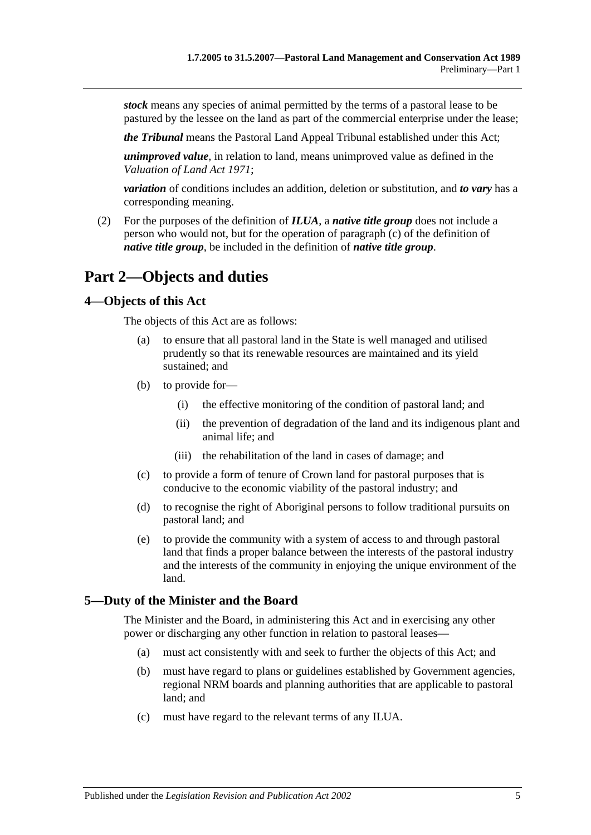*stock* means any species of animal permitted by the terms of a pastoral lease to be pastured by the lessee on the land as part of the commercial enterprise under the lease;

*the Tribunal* means the Pastoral Land Appeal Tribunal established under this Act;

*unimproved value*, in relation to land, means unimproved value as defined in the *[Valuation of Land Act](http://www.legislation.sa.gov.au/index.aspx?action=legref&type=act&legtitle=Valuation%20of%20Land%20Act%201971) 1971*;

*variation* of conditions includes an addition, deletion or substitution, and *to vary* has a corresponding meaning.

(2) For the purposes of the definition of *ILUA*, a *native title group* does not include a person who would not, but for the operation of [paragraph](#page-3-0) (c) of the definition of *native title group*, be included in the definition of *native title group*.

# <span id="page-4-0"></span>**Part 2—Objects and duties**

### <span id="page-4-1"></span>**4—Objects of this Act**

The objects of this Act are as follows:

- (a) to ensure that all pastoral land in the State is well managed and utilised prudently so that its renewable resources are maintained and its yield sustained; and
- (b) to provide for—
	- (i) the effective monitoring of the condition of pastoral land; and
	- (ii) the prevention of degradation of the land and its indigenous plant and animal life; and
	- (iii) the rehabilitation of the land in cases of damage; and
- (c) to provide a form of tenure of Crown land for pastoral purposes that is conducive to the economic viability of the pastoral industry; and
- (d) to recognise the right of Aboriginal persons to follow traditional pursuits on pastoral land; and
- (e) to provide the community with a system of access to and through pastoral land that finds a proper balance between the interests of the pastoral industry and the interests of the community in enjoying the unique environment of the land.

## <span id="page-4-2"></span>**5—Duty of the Minister and the Board**

The Minister and the Board, in administering this Act and in exercising any other power or discharging any other function in relation to pastoral leases—

- (a) must act consistently with and seek to further the objects of this Act; and
- (b) must have regard to plans or guidelines established by Government agencies, regional NRM boards and planning authorities that are applicable to pastoral land; and
- (c) must have regard to the relevant terms of any ILUA.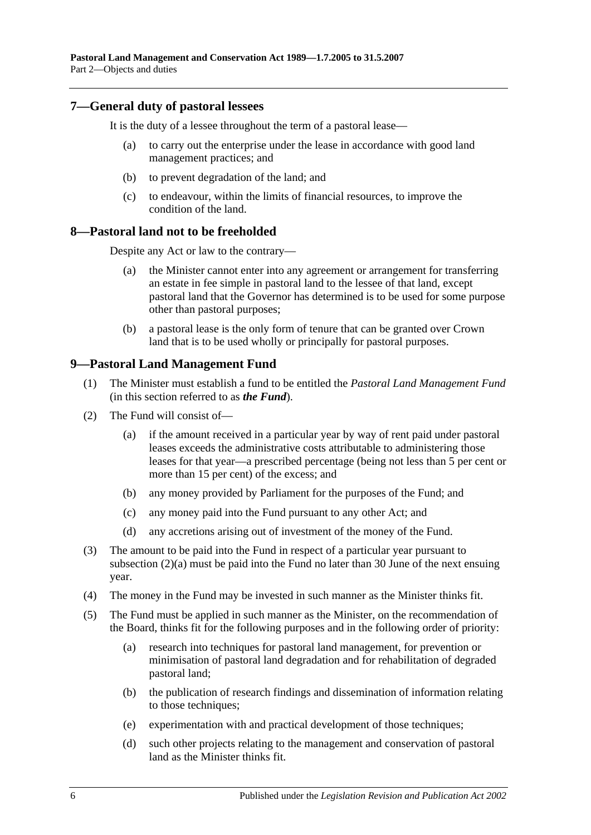## <span id="page-5-0"></span>**7—General duty of pastoral lessees**

It is the duty of a lessee throughout the term of a pastoral lease—

- (a) to carry out the enterprise under the lease in accordance with good land management practices; and
- (b) to prevent degradation of the land; and
- (c) to endeavour, within the limits of financial resources, to improve the condition of the land.

### <span id="page-5-1"></span>**8—Pastoral land not to be freeholded**

Despite any Act or law to the contrary—

- (a) the Minister cannot enter into any agreement or arrangement for transferring an estate in fee simple in pastoral land to the lessee of that land, except pastoral land that the Governor has determined is to be used for some purpose other than pastoral purposes;
- (b) a pastoral lease is the only form of tenure that can be granted over Crown land that is to be used wholly or principally for pastoral purposes.

# <span id="page-5-2"></span>**9—Pastoral Land Management Fund**

- (1) The Minister must establish a fund to be entitled the *Pastoral Land Management Fund* (in this section referred to as *the Fund*).
- (2) The Fund will consist of—
	- (a) if the amount received in a particular year by way of rent paid under pastoral leases exceeds the administrative costs attributable to administering those leases for that year—a prescribed percentage (being not less than 5 per cent or more than 15 per cent) of the excess; and
	- (b) any money provided by Parliament for the purposes of the Fund; and
	- (c) any money paid into the Fund pursuant to any other Act; and
	- (d) any accretions arising out of investment of the money of the Fund.
- (3) The amount to be paid into the Fund in respect of a particular year pursuant to subsection (2)(a) must be paid into the Fund no later than 30 June of the next ensuing year.
- (4) The money in the Fund may be invested in such manner as the Minister thinks fit.
- (5) The Fund must be applied in such manner as the Minister, on the recommendation of the Board, thinks fit for the following purposes and in the following order of priority:
	- (a) research into techniques for pastoral land management, for prevention or minimisation of pastoral land degradation and for rehabilitation of degraded pastoral land;
	- (b) the publication of research findings and dissemination of information relating to those techniques;
	- (e) experimentation with and practical development of those techniques;
	- (d) such other projects relating to the management and conservation of pastoral land as the Minister thinks fit.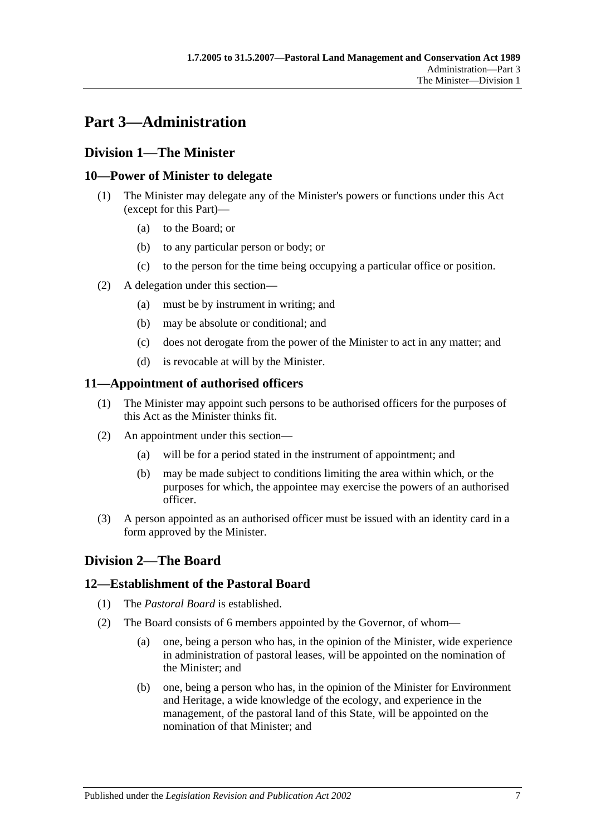# <span id="page-6-0"></span>**Part 3—Administration**

# <span id="page-6-1"></span>**Division 1—The Minister**

# <span id="page-6-2"></span>**10—Power of Minister to delegate**

- (1) The Minister may delegate any of the Minister's powers or functions under this Act (except for this Part)—
	- (a) to the Board; or
	- (b) to any particular person or body; or
	- (c) to the person for the time being occupying a particular office or position.
- (2) A delegation under this section—
	- (a) must be by instrument in writing; and
	- (b) may be absolute or conditional; and
	- (c) does not derogate from the power of the Minister to act in any matter; and
	- (d) is revocable at will by the Minister.

# <span id="page-6-3"></span>**11—Appointment of authorised officers**

- (1) The Minister may appoint such persons to be authorised officers for the purposes of this Act as the Minister thinks fit.
- (2) An appointment under this section—
	- (a) will be for a period stated in the instrument of appointment; and
	- (b) may be made subject to conditions limiting the area within which, or the purposes for which, the appointee may exercise the powers of an authorised officer.
- (3) A person appointed as an authorised officer must be issued with an identity card in a form approved by the Minister.

# <span id="page-6-4"></span>**Division 2—The Board**

# <span id="page-6-5"></span>**12—Establishment of the Pastoral Board**

- (1) The *Pastoral Board* is established.
- (2) The Board consists of 6 members appointed by the Governor, of whom—
	- (a) one, being a person who has, in the opinion of the Minister, wide experience in administration of pastoral leases, will be appointed on the nomination of the Minister; and
	- (b) one, being a person who has, in the opinion of the Minister for Environment and Heritage, a wide knowledge of the ecology, and experience in the management, of the pastoral land of this State, will be appointed on the nomination of that Minister; and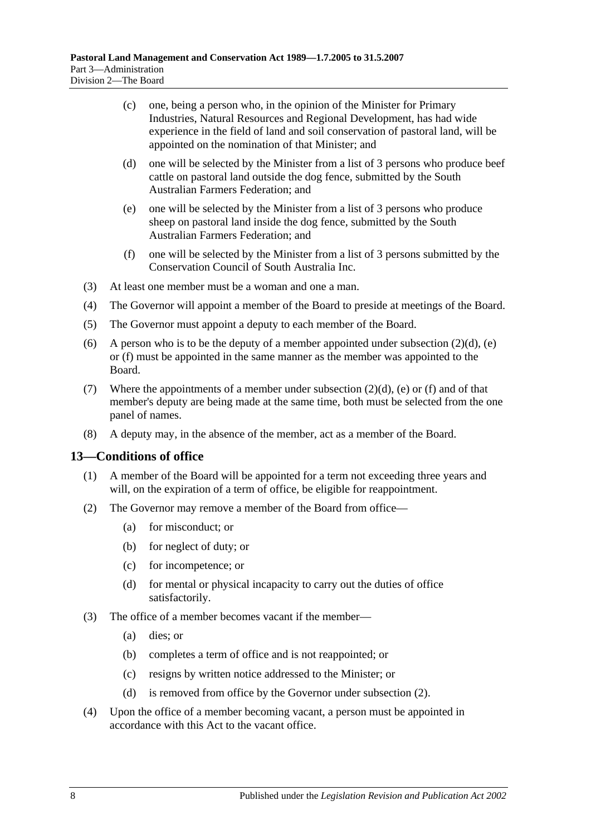- (c) one, being a person who, in the opinion of the Minister for Primary Industries, Natural Resources and Regional Development, has had wide experience in the field of land and soil conservation of pastoral land, will be appointed on the nomination of that Minister; and
- <span id="page-7-1"></span>(d) one will be selected by the Minister from a list of 3 persons who produce beef cattle on pastoral land outside the dog fence, submitted by the South Australian Farmers Federation; and
- <span id="page-7-2"></span>(e) one will be selected by the Minister from a list of 3 persons who produce sheep on pastoral land inside the dog fence, submitted by the South Australian Farmers Federation; and
- (f) one will be selected by the Minister from a list of 3 persons submitted by the Conservation Council of South Australia Inc.
- <span id="page-7-3"></span>(3) At least one member must be a woman and one a man.
- (4) The Governor will appoint a member of the Board to preside at meetings of the Board.
- (5) The Governor must appoint a deputy to each member of the Board.
- (6) A person who is to be the deputy of a member appointed under [subsection](#page-7-1)  $(2)(d)$ , [\(e\)](#page-7-2) or [\(f\)](#page-7-3) must be appointed in the same manner as the member was appointed to the Board.
- (7) Where the appointments of a member under [subsection](#page-7-1)  $(2)(d)$ , [\(e\)](#page-7-2) or [\(f\)](#page-7-3) and of that member's deputy are being made at the same time, both must be selected from the one panel of names.
- (8) A deputy may, in the absence of the member, act as a member of the Board.

### <span id="page-7-0"></span>**13—Conditions of office**

- (1) A member of the Board will be appointed for a term not exceeding three years and will, on the expiration of a term of office, be eligible for reappointment.
- <span id="page-7-4"></span>(2) The Governor may remove a member of the Board from office—
	- (a) for misconduct; or
	- (b) for neglect of duty; or
	- (c) for incompetence; or
	- (d) for mental or physical incapacity to carry out the duties of office satisfactorily.
- (3) The office of a member becomes vacant if the member—
	- (a) dies; or
	- (b) completes a term of office and is not reappointed; or
	- (c) resigns by written notice addressed to the Minister; or
	- (d) is removed from office by the Governor under [subsection](#page-7-4) (2).
- (4) Upon the office of a member becoming vacant, a person must be appointed in accordance with this Act to the vacant office.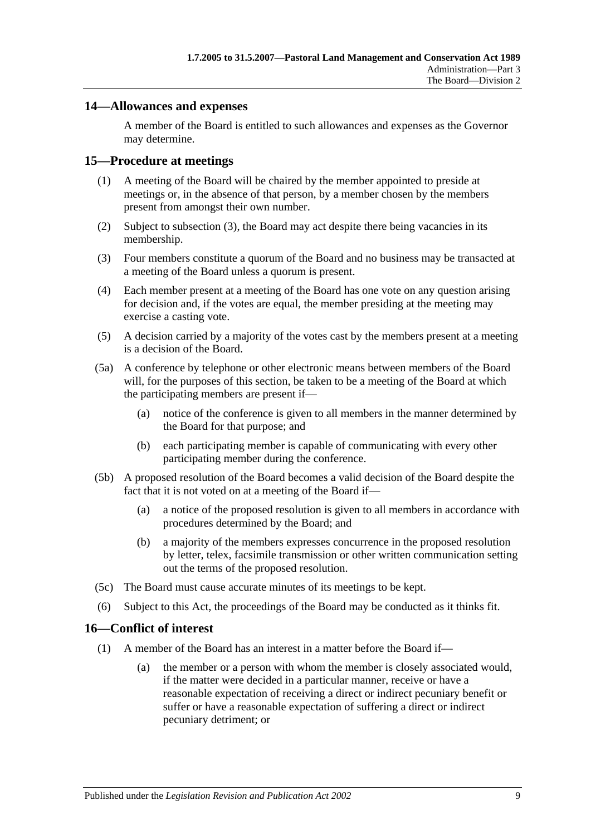## <span id="page-8-0"></span>**14—Allowances and expenses**

A member of the Board is entitled to such allowances and expenses as the Governor may determine.

### <span id="page-8-1"></span>**15—Procedure at meetings**

- (1) A meeting of the Board will be chaired by the member appointed to preside at meetings or, in the absence of that person, by a member chosen by the members present from amongst their own number.
- (2) Subject to [subsection](#page-8-3) (3), the Board may act despite there being vacancies in its membership.
- <span id="page-8-3"></span>(3) Four members constitute a quorum of the Board and no business may be transacted at a meeting of the Board unless a quorum is present.
- (4) Each member present at a meeting of the Board has one vote on any question arising for decision and, if the votes are equal, the member presiding at the meeting may exercise a casting vote.
- (5) A decision carried by a majority of the votes cast by the members present at a meeting is a decision of the Board.
- (5a) A conference by telephone or other electronic means between members of the Board will, for the purposes of this section, be taken to be a meeting of the Board at which the participating members are present if—
	- (a) notice of the conference is given to all members in the manner determined by the Board for that purpose; and
	- (b) each participating member is capable of communicating with every other participating member during the conference.
- (5b) A proposed resolution of the Board becomes a valid decision of the Board despite the fact that it is not voted on at a meeting of the Board if—
	- (a) a notice of the proposed resolution is given to all members in accordance with procedures determined by the Board; and
	- (b) a majority of the members expresses concurrence in the proposed resolution by letter, telex, facsimile transmission or other written communication setting out the terms of the proposed resolution.
- (5c) The Board must cause accurate minutes of its meetings to be kept.
- (6) Subject to this Act, the proceedings of the Board may be conducted as it thinks fit.

### <span id="page-8-4"></span><span id="page-8-2"></span>**16—Conflict of interest**

- (1) A member of the Board has an interest in a matter before the Board if—
	- (a) the member or a person with whom the member is closely associated would, if the matter were decided in a particular manner, receive or have a reasonable expectation of receiving a direct or indirect pecuniary benefit or suffer or have a reasonable expectation of suffering a direct or indirect pecuniary detriment; or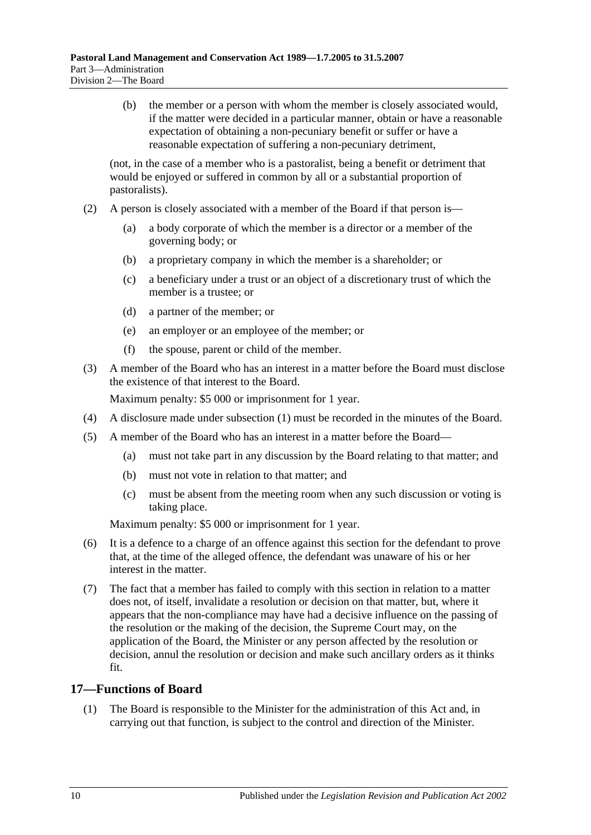(b) the member or a person with whom the member is closely associated would, if the matter were decided in a particular manner, obtain or have a reasonable expectation of obtaining a non-pecuniary benefit or suffer or have a reasonable expectation of suffering a non-pecuniary detriment,

(not, in the case of a member who is a pastoralist, being a benefit or detriment that would be enjoyed or suffered in common by all or a substantial proportion of pastoralists).

- (2) A person is closely associated with a member of the Board if that person is—
	- (a) a body corporate of which the member is a director or a member of the governing body; or
	- (b) a proprietary company in which the member is a shareholder; or
	- (c) a beneficiary under a trust or an object of a discretionary trust of which the member is a trustee; or
	- (d) a partner of the member; or
	- (e) an employer or an employee of the member; or
	- (f) the spouse, parent or child of the member.
- (3) A member of the Board who has an interest in a matter before the Board must disclose the existence of that interest to the Board.

Maximum penalty: \$5 000 or imprisonment for 1 year.

- (4) A disclosure made under [subsection](#page-8-4) (1) must be recorded in the minutes of the Board.
- (5) A member of the Board who has an interest in a matter before the Board—
	- (a) must not take part in any discussion by the Board relating to that matter; and
	- (b) must not vote in relation to that matter; and
	- (c) must be absent from the meeting room when any such discussion or voting is taking place.

Maximum penalty: \$5 000 or imprisonment for 1 year.

- (6) It is a defence to a charge of an offence against this section for the defendant to prove that, at the time of the alleged offence, the defendant was unaware of his or her interest in the matter.
- (7) The fact that a member has failed to comply with this section in relation to a matter does not, of itself, invalidate a resolution or decision on that matter, but, where it appears that the non-compliance may have had a decisive influence on the passing of the resolution or the making of the decision, the Supreme Court may, on the application of the Board, the Minister or any person affected by the resolution or decision, annul the resolution or decision and make such ancillary orders as it thinks fit.

## <span id="page-9-0"></span>**17—Functions of Board**

(1) The Board is responsible to the Minister for the administration of this Act and, in carrying out that function, is subject to the control and direction of the Minister.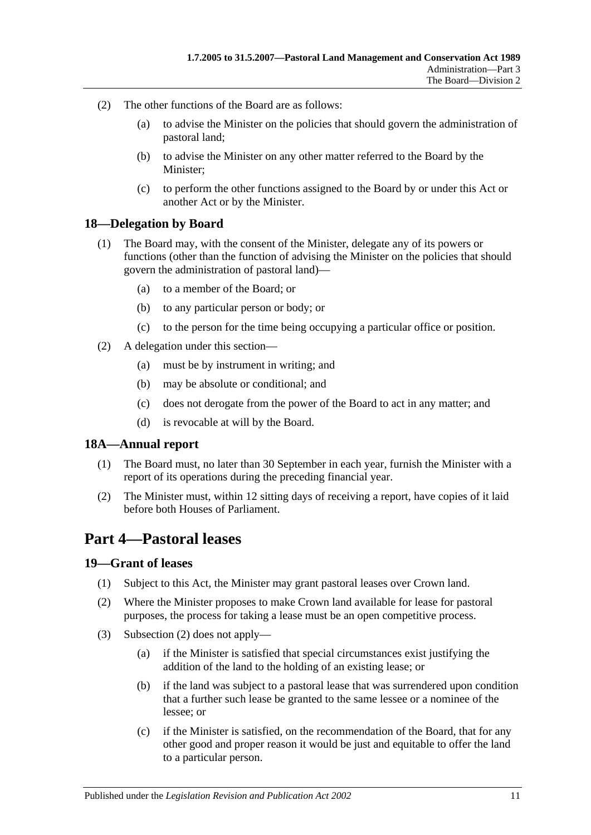- (2) The other functions of the Board are as follows:
	- (a) to advise the Minister on the policies that should govern the administration of pastoral land;
	- (b) to advise the Minister on any other matter referred to the Board by the Minister;
	- (c) to perform the other functions assigned to the Board by or under this Act or another Act or by the Minister.

### <span id="page-10-0"></span>**18—Delegation by Board**

- (1) The Board may, with the consent of the Minister, delegate any of its powers or functions (other than the function of advising the Minister on the policies that should govern the administration of pastoral land)—
	- (a) to a member of the Board; or
	- (b) to any particular person or body; or
	- (c) to the person for the time being occupying a particular office or position.
- (2) A delegation under this section—
	- (a) must be by instrument in writing; and
	- (b) may be absolute or conditional; and
	- (c) does not derogate from the power of the Board to act in any matter; and
	- (d) is revocable at will by the Board.

### <span id="page-10-1"></span>**18A—Annual report**

- (1) The Board must, no later than 30 September in each year, furnish the Minister with a report of its operations during the preceding financial year.
- (2) The Minister must, within 12 sitting days of receiving a report, have copies of it laid before both Houses of Parliament.

# <span id="page-10-2"></span>**Part 4—Pastoral leases**

### <span id="page-10-3"></span>**19—Grant of leases**

- (1) Subject to this Act, the Minister may grant pastoral leases over Crown land.
- <span id="page-10-4"></span>(2) Where the Minister proposes to make Crown land available for lease for pastoral purposes, the process for taking a lease must be an open competitive process.
- (3) [Subsection](#page-10-4) (2) does not apply—
	- (a) if the Minister is satisfied that special circumstances exist justifying the addition of the land to the holding of an existing lease; or
	- (b) if the land was subject to a pastoral lease that was surrendered upon condition that a further such lease be granted to the same lessee or a nominee of the lessee; or
	- (c) if the Minister is satisfied, on the recommendation of the Board, that for any other good and proper reason it would be just and equitable to offer the land to a particular person.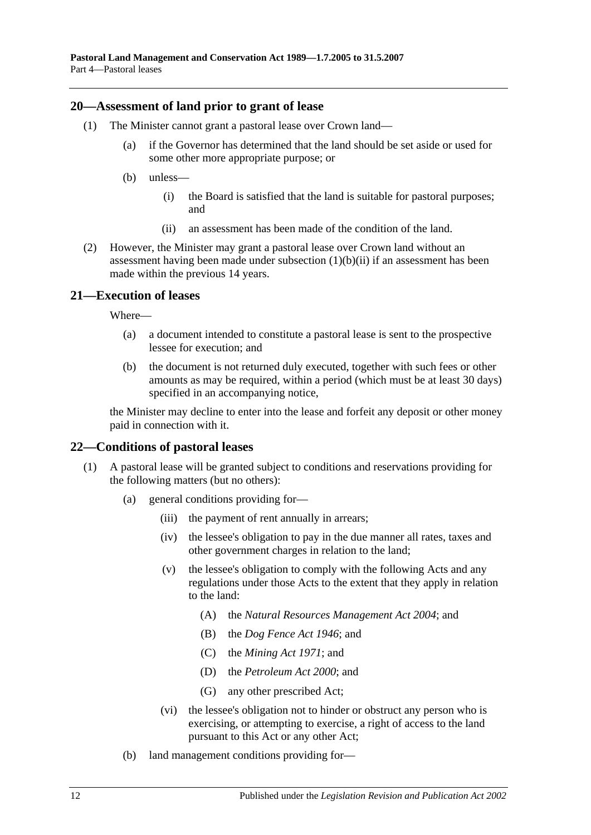### <span id="page-11-0"></span>**20—Assessment of land prior to grant of lease**

- (1) The Minister cannot grant a pastoral lease over Crown land—
	- (a) if the Governor has determined that the land should be set aside or used for some other more appropriate purpose; or
	- (b) unless—
		- (i) the Board is satisfied that the land is suitable for pastoral purposes; and
		- (ii) an assessment has been made of the condition of the land.
- <span id="page-11-3"></span>(2) However, the Minister may grant a pastoral lease over Crown land without an assessment having been made under [subsection](#page-11-3)  $(1)(b)(ii)$  if an assessment has been made within the previous 14 years.

# <span id="page-11-1"></span>**21—Execution of leases**

Where—

- (a) a document intended to constitute a pastoral lease is sent to the prospective lessee for execution; and
- (b) the document is not returned duly executed, together with such fees or other amounts as may be required, within a period (which must be at least 30 days) specified in an accompanying notice,

the Minister may decline to enter into the lease and forfeit any deposit or other money paid in connection with it.

## <span id="page-11-2"></span>**22—Conditions of pastoral leases**

- <span id="page-11-5"></span><span id="page-11-4"></span>(1) A pastoral lease will be granted subject to conditions and reservations providing for the following matters (but no others):
	- (a) general conditions providing for—
		- (iii) the payment of rent annually in arrears;
		- (iv) the lessee's obligation to pay in the due manner all rates, taxes and other government charges in relation to the land;
		- (v) the lessee's obligation to comply with the following Acts and any regulations under those Acts to the extent that they apply in relation to the land:
			- (A) the *[Natural Resources Management Act](http://www.legislation.sa.gov.au/index.aspx?action=legref&type=act&legtitle=Natural%20Resources%20Management%20Act%202004) 2004*; and
			- (B) the *[Dog Fence Act](http://www.legislation.sa.gov.au/index.aspx?action=legref&type=act&legtitle=Dog%20Fence%20Act%201946) 1946*; and
			- (C) the *[Mining Act](http://www.legislation.sa.gov.au/index.aspx?action=legref&type=act&legtitle=Mining%20Act%201971) 1971*; and
			- (D) the *[Petroleum Act](http://www.legislation.sa.gov.au/index.aspx?action=legref&type=act&legtitle=Petroleum%20Act%202000) 2000*; and
			- (G) any other prescribed Act;
		- (vi) the lessee's obligation not to hinder or obstruct any person who is exercising, or attempting to exercise, a right of access to the land pursuant to this Act or any other Act;
	- (b) land management conditions providing for—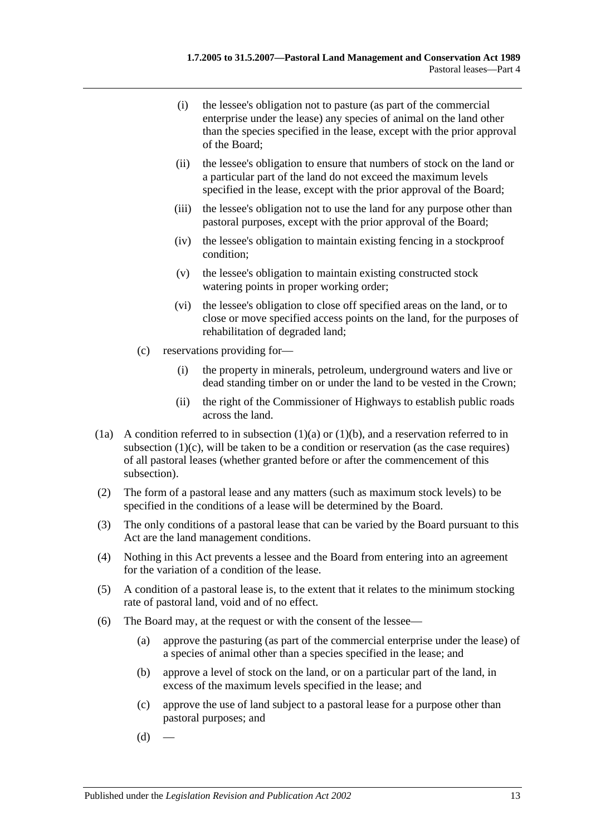- (i) the lessee's obligation not to pasture (as part of the commercial enterprise under the lease) any species of animal on the land other than the species specified in the lease, except with the prior approval of the Board;
- (ii) the lessee's obligation to ensure that numbers of stock on the land or a particular part of the land do not exceed the maximum levels specified in the lease, except with the prior approval of the Board;
- (iii) the lessee's obligation not to use the land for any purpose other than pastoral purposes, except with the prior approval of the Board;
- (iv) the lessee's obligation to maintain existing fencing in a stockproof condition;
- (v) the lessee's obligation to maintain existing constructed stock watering points in proper working order;
- (vi) the lessee's obligation to close off specified areas on the land, or to close or move specified access points on the land, for the purposes of rehabilitation of degraded land;
- <span id="page-12-0"></span>(c) reservations providing for—
	- (i) the property in minerals, petroleum, underground waters and live or dead standing timber on or under the land to be vested in the Crown;
	- (ii) the right of the Commissioner of Highways to establish public roads across the land.
- (1a) A condition referred to in [subsection](#page-11-4)  $(1)(a)$  or  $(1)(b)$ , and a reservation referred to in [subsection](#page-12-0)  $(1)(c)$ , will be taken to be a condition or reservation (as the case requires) of all pastoral leases (whether granted before or after the commencement of this subsection).
- (2) The form of a pastoral lease and any matters (such as maximum stock levels) to be specified in the conditions of a lease will be determined by the Board.
- (3) The only conditions of a pastoral lease that can be varied by the Board pursuant to this Act are the land management conditions.
- (4) Nothing in this Act prevents a lessee and the Board from entering into an agreement for the variation of a condition of the lease.
- (5) A condition of a pastoral lease is, to the extent that it relates to the minimum stocking rate of pastoral land, void and of no effect.
- <span id="page-12-1"></span>(6) The Board may, at the request or with the consent of the lessee—
	- (a) approve the pasturing (as part of the commercial enterprise under the lease) of a species of animal other than a species specified in the lease; and
	- (b) approve a level of stock on the land, or on a particular part of the land, in excess of the maximum levels specified in the lease; and
	- (c) approve the use of land subject to a pastoral lease for a purpose other than pastoral purposes; and
	- $(d)$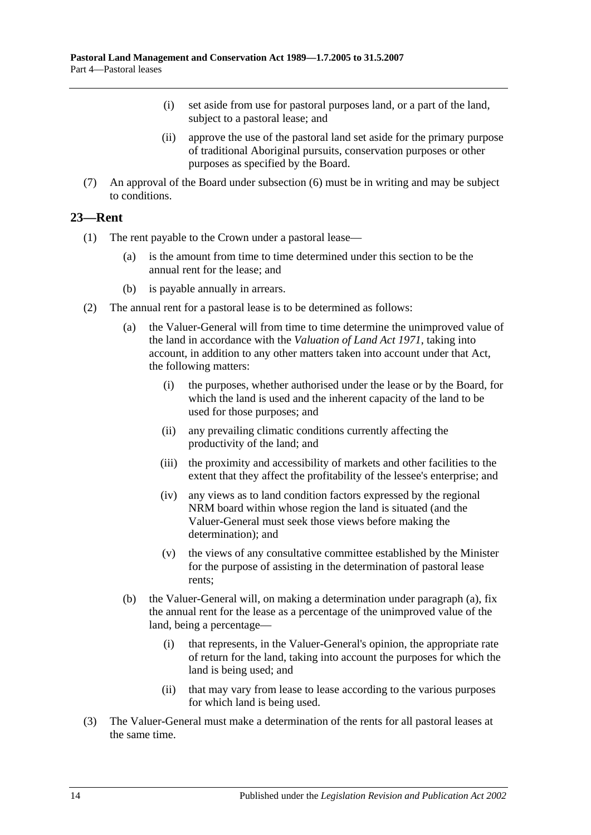- (i) set aside from use for pastoral purposes land, or a part of the land, subject to a pastoral lease; and
- (ii) approve the use of the pastoral land set aside for the primary purpose of traditional Aboriginal pursuits, conservation purposes or other purposes as specified by the Board.
- (7) An approval of the Board under [subsection](#page-12-1) (6) must be in writing and may be subject to conditions.

# <span id="page-13-0"></span>**23—Rent**

- (1) The rent payable to the Crown under a pastoral lease—
	- (a) is the amount from time to time determined under this section to be the annual rent for the lease; and
	- (b) is payable annually in arrears.
- <span id="page-13-1"></span>(2) The annual rent for a pastoral lease is to be determined as follows:
	- (a) the Valuer-General will from time to time determine the unimproved value of the land in accordance with the *[Valuation of Land Act](http://www.legislation.sa.gov.au/index.aspx?action=legref&type=act&legtitle=Valuation%20of%20Land%20Act%201971) 1971*, taking into account, in addition to any other matters taken into account under that Act, the following matters:
		- (i) the purposes, whether authorised under the lease or by the Board, for which the land is used and the inherent capacity of the land to be used for those purposes; and
		- (ii) any prevailing climatic conditions currently affecting the productivity of the land; and
		- (iii) the proximity and accessibility of markets and other facilities to the extent that they affect the profitability of the lessee's enterprise; and
		- (iv) any views as to land condition factors expressed by the regional NRM board within whose region the land is situated (and the Valuer-General must seek those views before making the determination); and
		- (v) the views of any consultative committee established by the Minister for the purpose of assisting in the determination of pastoral lease rents;
	- (b) the Valuer-General will, on making a determination under [paragraph](#page-13-1) (a), fix the annual rent for the lease as a percentage of the unimproved value of the land, being a percentage—
		- (i) that represents, in the Valuer-General's opinion, the appropriate rate of return for the land, taking into account the purposes for which the land is being used; and
		- (ii) that may vary from lease to lease according to the various purposes for which land is being used.
- (3) The Valuer-General must make a determination of the rents for all pastoral leases at the same time.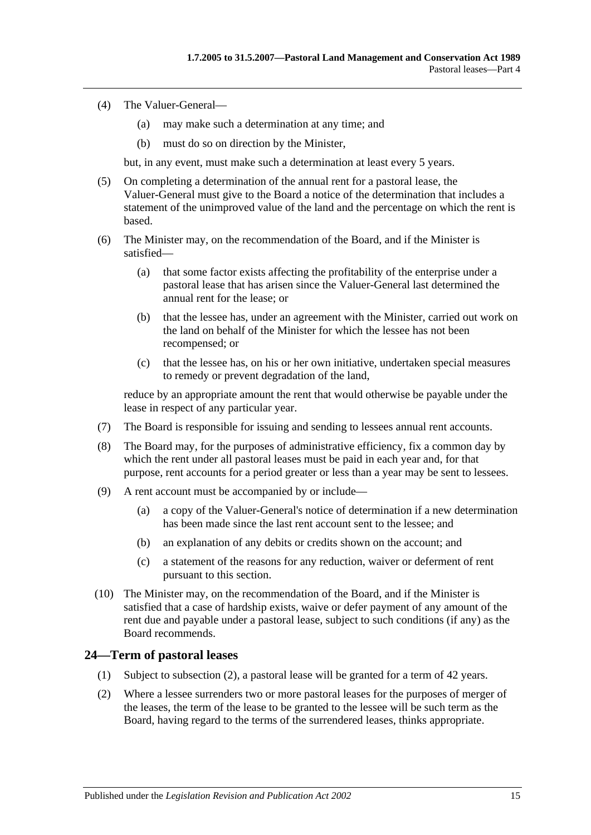- (4) The Valuer-General—
	- (a) may make such a determination at any time; and
	- (b) must do so on direction by the Minister,

but, in any event, must make such a determination at least every 5 years.

- (5) On completing a determination of the annual rent for a pastoral lease, the Valuer-General must give to the Board a notice of the determination that includes a statement of the unimproved value of the land and the percentage on which the rent is based.
- (6) The Minister may, on the recommendation of the Board, and if the Minister is satisfied—
	- (a) that some factor exists affecting the profitability of the enterprise under a pastoral lease that has arisen since the Valuer-General last determined the annual rent for the lease; or
	- (b) that the lessee has, under an agreement with the Minister, carried out work on the land on behalf of the Minister for which the lessee has not been recompensed; or
	- (c) that the lessee has, on his or her own initiative, undertaken special measures to remedy or prevent degradation of the land,

reduce by an appropriate amount the rent that would otherwise be payable under the lease in respect of any particular year.

- (7) The Board is responsible for issuing and sending to lessees annual rent accounts.
- (8) The Board may, for the purposes of administrative efficiency, fix a common day by which the rent under all pastoral leases must be paid in each year and, for that purpose, rent accounts for a period greater or less than a year may be sent to lessees.
- (9) A rent account must be accompanied by or include—
	- (a) a copy of the Valuer-General's notice of determination if a new determination has been made since the last rent account sent to the lessee; and
	- (b) an explanation of any debits or credits shown on the account; and
	- (c) a statement of the reasons for any reduction, waiver or deferment of rent pursuant to this section.
- (10) The Minister may, on the recommendation of the Board, and if the Minister is satisfied that a case of hardship exists, waive or defer payment of any amount of the rent due and payable under a pastoral lease, subject to such conditions (if any) as the Board recommends.

## <span id="page-14-0"></span>**24—Term of pastoral leases**

- (1) Subject to [subsection](#page-14-1) (2), a pastoral lease will be granted for a term of 42 years.
- <span id="page-14-1"></span>(2) Where a lessee surrenders two or more pastoral leases for the purposes of merger of the leases, the term of the lease to be granted to the lessee will be such term as the Board, having regard to the terms of the surrendered leases, thinks appropriate.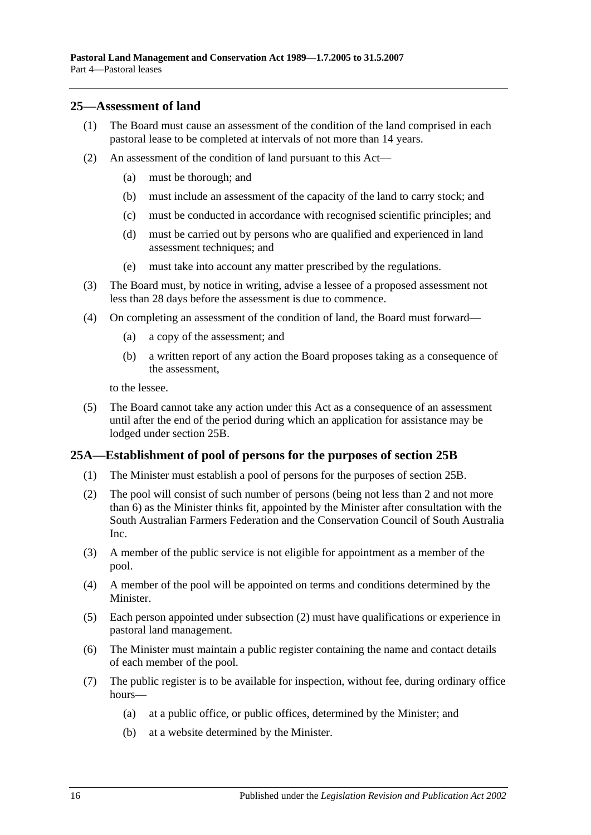### <span id="page-15-0"></span>**25—Assessment of land**

- (1) The Board must cause an assessment of the condition of the land comprised in each pastoral lease to be completed at intervals of not more than 14 years.
- (2) An assessment of the condition of land pursuant to this Act—
	- (a) must be thorough; and
	- (b) must include an assessment of the capacity of the land to carry stock; and
	- (c) must be conducted in accordance with recognised scientific principles; and
	- (d) must be carried out by persons who are qualified and experienced in land assessment techniques; and
	- (e) must take into account any matter prescribed by the regulations.
- (3) The Board must, by notice in writing, advise a lessee of a proposed assessment not less than 28 days before the assessment is due to commence.
- <span id="page-15-3"></span>(4) On completing an assessment of the condition of land, the Board must forward—
	- (a) a copy of the assessment; and
	- (b) a written report of any action the Board proposes taking as a consequence of the assessment,

to the lessee.

(5) The Board cannot take any action under this Act as a consequence of an assessment until after the end of the period during which an application for assistance may be lodged under [section](#page-16-0) 25B.

## <span id="page-15-1"></span>**25A—Establishment of pool of persons for the purposes of [section](#page-16-0) 25B**

- (1) The Minister must establish a pool of persons for the purposes of [section](#page-16-0) 25B.
- <span id="page-15-2"></span>(2) The pool will consist of such number of persons (being not less than 2 and not more than 6) as the Minister thinks fit, appointed by the Minister after consultation with the South Australian Farmers Federation and the Conservation Council of South Australia Inc.
- (3) A member of the public service is not eligible for appointment as a member of the pool.
- (4) A member of the pool will be appointed on terms and conditions determined by the Minister.
- (5) Each person appointed under [subsection](#page-15-2) (2) must have qualifications or experience in pastoral land management.
- (6) The Minister must maintain a public register containing the name and contact details of each member of the pool.
- (7) The public register is to be available for inspection, without fee, during ordinary office hours—
	- (a) at a public office, or public offices, determined by the Minister; and
	- (b) at a website determined by the Minister.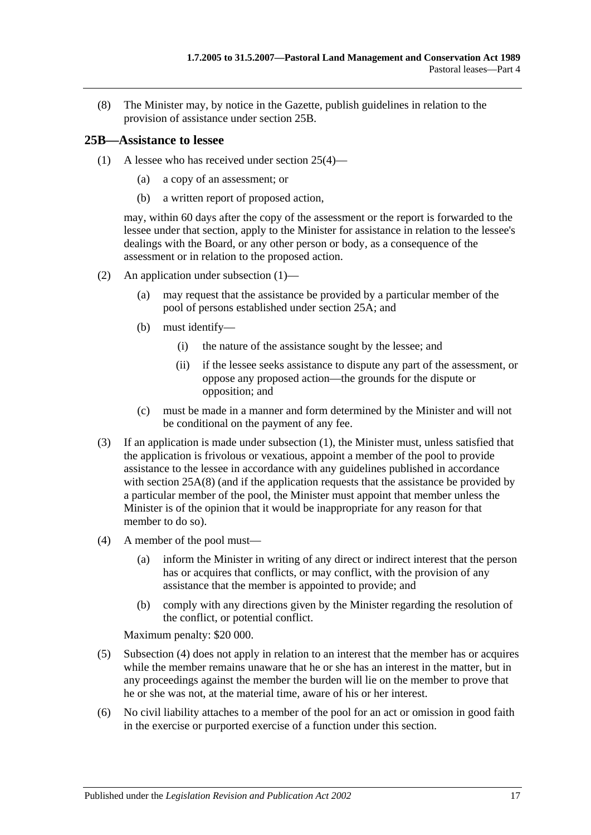<span id="page-16-2"></span>(8) The Minister may, by notice in the Gazette, publish guidelines in relation to the provision of assistance under [section](#page-16-0) 25B.

## <span id="page-16-1"></span><span id="page-16-0"></span>**25B—Assistance to lessee**

- (1) A lessee who has received under [section](#page-15-3) 25(4)—
	- (a) a copy of an assessment; or
	- (b) a written report of proposed action,

may, within 60 days after the copy of the assessment or the report is forwarded to the lessee under that section, apply to the Minister for assistance in relation to the lessee's dealings with the Board, or any other person or body, as a consequence of the assessment or in relation to the proposed action.

- (2) An application under [subsection](#page-16-1) (1)—
	- (a) may request that the assistance be provided by a particular member of the pool of persons established under [section](#page-15-1) 25A; and
	- (b) must identify—
		- (i) the nature of the assistance sought by the lessee; and
		- (ii) if the lessee seeks assistance to dispute any part of the assessment, or oppose any proposed action—the grounds for the dispute or opposition; and
	- (c) must be made in a manner and form determined by the Minister and will not be conditional on the payment of any fee.
- (3) If an application is made under [subsection](#page-16-1) (1), the Minister must, unless satisfied that the application is frivolous or vexatious, appoint a member of the pool to provide assistance to the lessee in accordance with any guidelines published in accordance with [section](#page-16-2) 25A(8) (and if the application requests that the assistance be provided by a particular member of the pool, the Minister must appoint that member unless the Minister is of the opinion that it would be inappropriate for any reason for that member to do so).
- <span id="page-16-3"></span>(4) A member of the pool must—
	- (a) inform the Minister in writing of any direct or indirect interest that the person has or acquires that conflicts, or may conflict, with the provision of any assistance that the member is appointed to provide; and
	- (b) comply with any directions given by the Minister regarding the resolution of the conflict, or potential conflict.

Maximum penalty: \$20 000.

- (5) [Subsection](#page-16-3) (4) does not apply in relation to an interest that the member has or acquires while the member remains unaware that he or she has an interest in the matter, but in any proceedings against the member the burden will lie on the member to prove that he or she was not, at the material time, aware of his or her interest.
- (6) No civil liability attaches to a member of the pool for an act or omission in good faith in the exercise or purported exercise of a function under this section.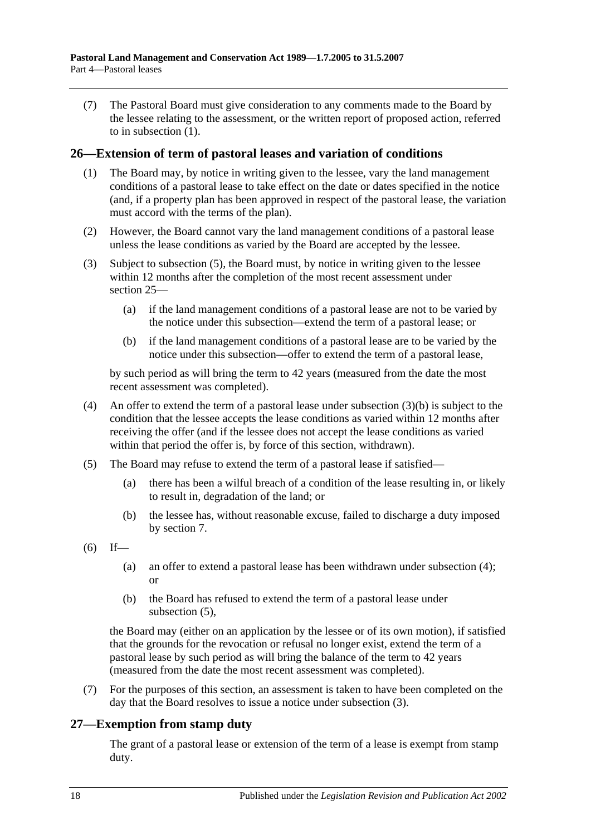(7) The Pastoral Board must give consideration to any comments made to the Board by the lessee relating to the assessment, or the written report of proposed action, referred to in [subsection](#page-16-1) (1).

### <span id="page-17-0"></span>**26—Extension of term of pastoral leases and variation of conditions**

- (1) The Board may, by notice in writing given to the lessee, vary the land management conditions of a pastoral lease to take effect on the date or dates specified in the notice (and, if a property plan has been approved in respect of the pastoral lease, the variation must accord with the terms of the plan).
- (2) However, the Board cannot vary the land management conditions of a pastoral lease unless the lease conditions as varied by the Board are accepted by the lessee.
- <span id="page-17-5"></span>(3) Subject to [subsection](#page-17-2) (5), the Board must, by notice in writing given to the lessee within 12 months after the completion of the most recent assessment under [section](#page-15-0) 25—
	- (a) if the land management conditions of a pastoral lease are not to be varied by the notice under this subsection—extend the term of a pastoral lease; or
	- (b) if the land management conditions of a pastoral lease are to be varied by the notice under this subsection—offer to extend the term of a pastoral lease,

<span id="page-17-3"></span>by such period as will bring the term to 42 years (measured from the date the most recent assessment was completed).

- <span id="page-17-4"></span>(4) An offer to extend the term of a pastoral lease under [subsection](#page-17-3)  $(3)(b)$  is subject to the condition that the lessee accepts the lease conditions as varied within 12 months after receiving the offer (and if the lessee does not accept the lease conditions as varied within that period the offer is, by force of this section, withdrawn).
- <span id="page-17-2"></span>(5) The Board may refuse to extend the term of a pastoral lease if satisfied—
	- (a) there has been a wilful breach of a condition of the lease resulting in, or likely to result in, degradation of the land; or
	- (b) the lessee has, without reasonable excuse, failed to discharge a duty imposed by [section](#page-5-0) 7.
- $(6)$  If—
	- (a) an offer to extend a pastoral lease has been withdrawn under [subsection](#page-17-4) (4); or
	- (b) the Board has refused to extend the term of a pastoral lease under [subsection](#page-17-2) (5),

the Board may (either on an application by the lessee or of its own motion), if satisfied that the grounds for the revocation or refusal no longer exist, extend the term of a pastoral lease by such period as will bring the balance of the term to 42 years (measured from the date the most recent assessment was completed).

(7) For the purposes of this section, an assessment is taken to have been completed on the day that the Board resolves to issue a notice under [subsection](#page-17-5) (3).

## <span id="page-17-1"></span>**27—Exemption from stamp duty**

The grant of a pastoral lease or extension of the term of a lease is exempt from stamp duty.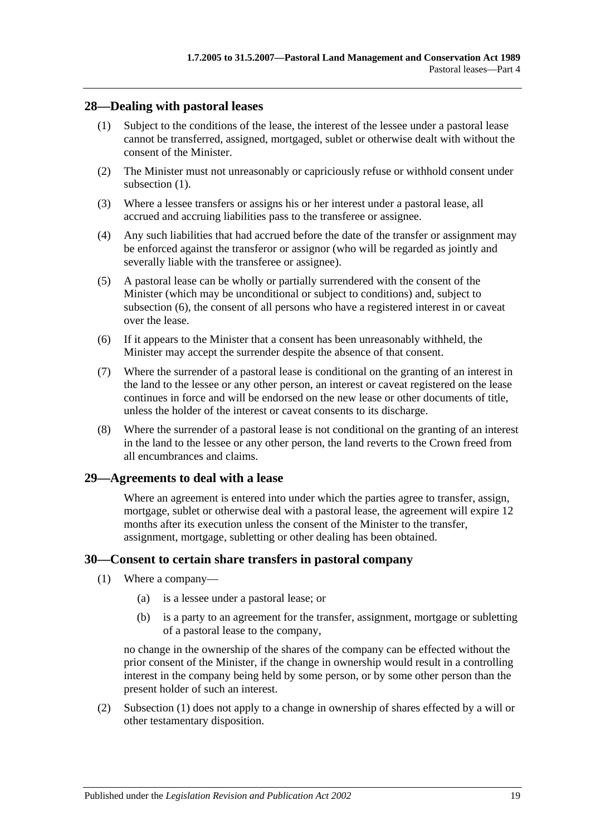## <span id="page-18-3"></span><span id="page-18-0"></span>**28—Dealing with pastoral leases**

- (1) Subject to the conditions of the lease, the interest of the lessee under a pastoral lease cannot be transferred, assigned, mortgaged, sublet or otherwise dealt with without the consent of the Minister.
- (2) The Minister must not unreasonably or capriciously refuse or withhold consent under [subsection](#page-18-3) (1).
- (3) Where a lessee transfers or assigns his or her interest under a pastoral lease, all accrued and accruing liabilities pass to the transferee or assignee.
- (4) Any such liabilities that had accrued before the date of the transfer or assignment may be enforced against the transferor or assignor (who will be regarded as jointly and severally liable with the transferee or assignee).
- (5) A pastoral lease can be wholly or partially surrendered with the consent of the Minister (which may be unconditional or subject to conditions) and, subject to [subsection](#page-18-4) (6), the consent of all persons who have a registered interest in or caveat over the lease.
- <span id="page-18-4"></span>(6) If it appears to the Minister that a consent has been unreasonably withheld, the Minister may accept the surrender despite the absence of that consent.
- (7) Where the surrender of a pastoral lease is conditional on the granting of an interest in the land to the lessee or any other person, an interest or caveat registered on the lease continues in force and will be endorsed on the new lease or other documents of title, unless the holder of the interest or caveat consents to its discharge.
- (8) Where the surrender of a pastoral lease is not conditional on the granting of an interest in the land to the lessee or any other person, the land reverts to the Crown freed from all encumbrances and claims.

## <span id="page-18-1"></span>**29—Agreements to deal with a lease**

Where an agreement is entered into under which the parties agree to transfer, assign, mortgage, sublet or otherwise deal with a pastoral lease, the agreement will expire 12 months after its execution unless the consent of the Minister to the transfer, assignment, mortgage, subletting or other dealing has been obtained.

## <span id="page-18-5"></span><span id="page-18-2"></span>**30—Consent to certain share transfers in pastoral company**

- (1) Where a company—
	- (a) is a lessee under a pastoral lease; or
	- (b) is a party to an agreement for the transfer, assignment, mortgage or subletting of a pastoral lease to the company,

no change in the ownership of the shares of the company can be effected without the prior consent of the Minister, if the change in ownership would result in a controlling interest in the company being held by some person, or by some other person than the present holder of such an interest.

(2) [Subsection](#page-18-5) (1) does not apply to a change in ownership of shares effected by a will or other testamentary disposition.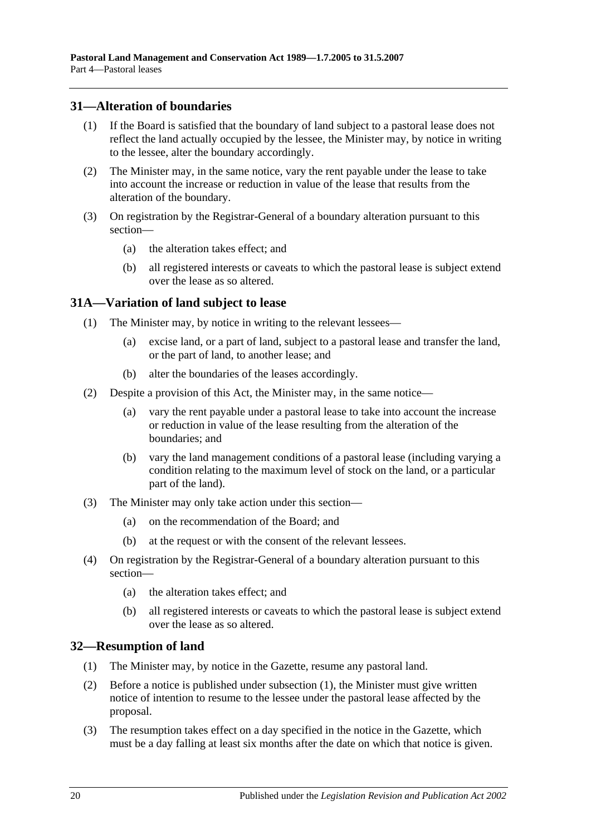## <span id="page-19-0"></span>**31—Alteration of boundaries**

- (1) If the Board is satisfied that the boundary of land subject to a pastoral lease does not reflect the land actually occupied by the lessee, the Minister may, by notice in writing to the lessee, alter the boundary accordingly.
- (2) The Minister may, in the same notice, vary the rent payable under the lease to take into account the increase or reduction in value of the lease that results from the alteration of the boundary.
- (3) On registration by the Registrar-General of a boundary alteration pursuant to this section—
	- (a) the alteration takes effect; and
	- (b) all registered interests or caveats to which the pastoral lease is subject extend over the lease as so altered.

# <span id="page-19-1"></span>**31A—Variation of land subject to lease**

- (1) The Minister may, by notice in writing to the relevant lessees—
	- (a) excise land, or a part of land, subject to a pastoral lease and transfer the land, or the part of land, to another lease; and
	- (b) alter the boundaries of the leases accordingly.
- (2) Despite a provision of this Act, the Minister may, in the same notice—
	- (a) vary the rent payable under a pastoral lease to take into account the increase or reduction in value of the lease resulting from the alteration of the boundaries; and
	- (b) vary the land management conditions of a pastoral lease (including varying a condition relating to the maximum level of stock on the land, or a particular part of the land).
- (3) The Minister may only take action under this section—
	- (a) on the recommendation of the Board; and
	- (b) at the request or with the consent of the relevant lessees.
- (4) On registration by the Registrar-General of a boundary alteration pursuant to this section—
	- (a) the alteration takes effect; and
	- (b) all registered interests or caveats to which the pastoral lease is subject extend over the lease as so altered.

# <span id="page-19-3"></span><span id="page-19-2"></span>**32—Resumption of land**

- (1) The Minister may, by notice in the Gazette, resume any pastoral land.
- (2) Before a notice is published under [subsection](#page-19-3) (1), the Minister must give written notice of intention to resume to the lessee under the pastoral lease affected by the proposal.
- (3) The resumption takes effect on a day specified in the notice in the Gazette, which must be a day falling at least six months after the date on which that notice is given.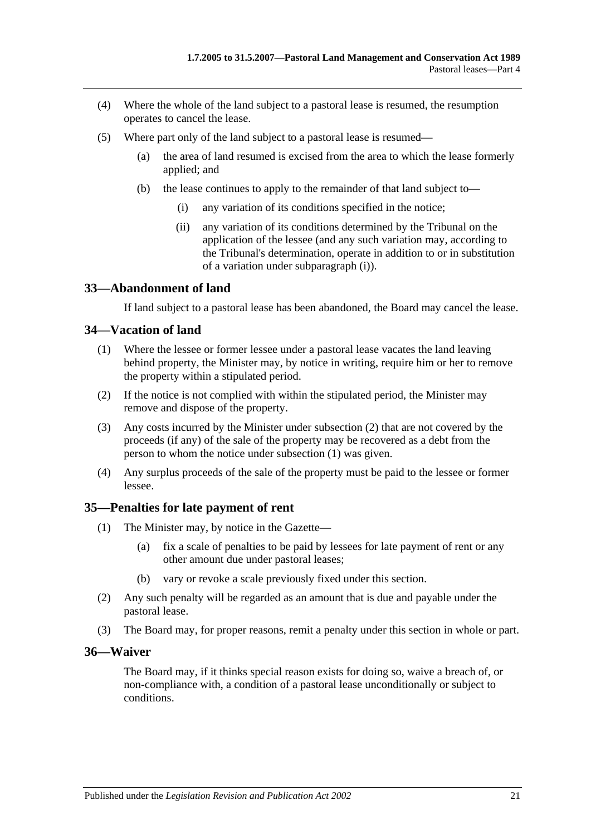- (4) Where the whole of the land subject to a pastoral lease is resumed, the resumption operates to cancel the lease.
- <span id="page-20-4"></span>(5) Where part only of the land subject to a pastoral lease is resumed—
	- (a) the area of land resumed is excised from the area to which the lease formerly applied; and
	- (b) the lease continues to apply to the remainder of that land subject to—
		- (i) any variation of its conditions specified in the notice;
		- (ii) any variation of its conditions determined by the Tribunal on the application of the lessee (and any such variation may, according to the Tribunal's determination, operate in addition to or in substitution of a variation under [subparagraph](#page-20-4) (i)).

## <span id="page-20-0"></span>**33—Abandonment of land**

If land subject to a pastoral lease has been abandoned, the Board may cancel the lease.

### <span id="page-20-6"></span><span id="page-20-1"></span>**34—Vacation of land**

- (1) Where the lessee or former lessee under a pastoral lease vacates the land leaving behind property, the Minister may, by notice in writing, require him or her to remove the property within a stipulated period.
- <span id="page-20-5"></span>(2) If the notice is not complied with within the stipulated period, the Minister may remove and dispose of the property.
- (3) Any costs incurred by the Minister under [subsection](#page-20-5) (2) that are not covered by the proceeds (if any) of the sale of the property may be recovered as a debt from the person to whom the notice under [subsection](#page-20-6) (1) was given.
- (4) Any surplus proceeds of the sale of the property must be paid to the lessee or former lessee.

### <span id="page-20-2"></span>**35—Penalties for late payment of rent**

- (1) The Minister may, by notice in the Gazette—
	- (a) fix a scale of penalties to be paid by lessees for late payment of rent or any other amount due under pastoral leases;
	- (b) vary or revoke a scale previously fixed under this section.
- (2) Any such penalty will be regarded as an amount that is due and payable under the pastoral lease.
- (3) The Board may, for proper reasons, remit a penalty under this section in whole or part.

### <span id="page-20-3"></span>**36—Waiver**

The Board may, if it thinks special reason exists for doing so, waive a breach of, or non-compliance with, a condition of a pastoral lease unconditionally or subject to conditions.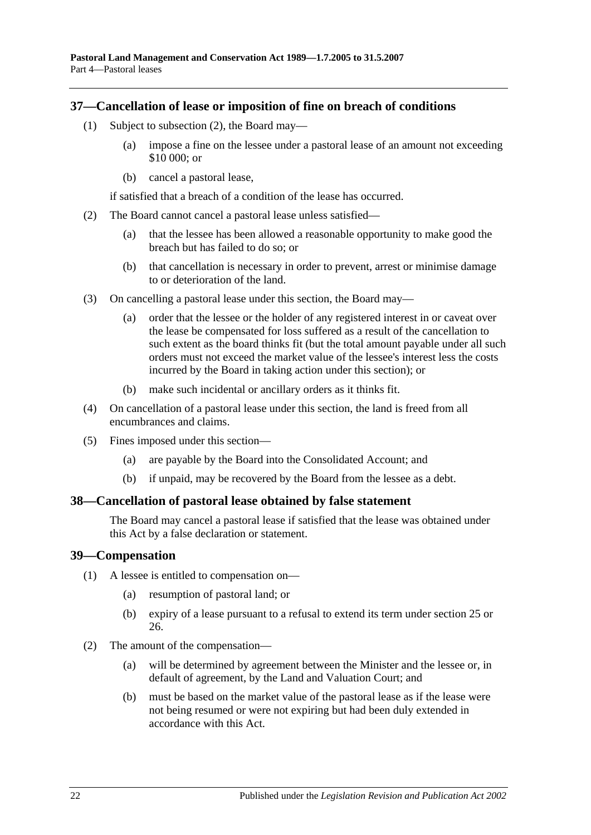### <span id="page-21-0"></span>**37—Cancellation of lease or imposition of fine on breach of conditions**

- (1) Subject to [subsection](#page-21-3) (2), the Board may—
	- (a) impose a fine on the lessee under a pastoral lease of an amount not exceeding \$10 000; or
	- (b) cancel a pastoral lease,

if satisfied that a breach of a condition of the lease has occurred.

- <span id="page-21-3"></span>(2) The Board cannot cancel a pastoral lease unless satisfied—
	- (a) that the lessee has been allowed a reasonable opportunity to make good the breach but has failed to do so; or
	- (b) that cancellation is necessary in order to prevent, arrest or minimise damage to or deterioration of the land.
- (3) On cancelling a pastoral lease under this section, the Board may—
	- (a) order that the lessee or the holder of any registered interest in or caveat over the lease be compensated for loss suffered as a result of the cancellation to such extent as the board thinks fit (but the total amount payable under all such orders must not exceed the market value of the lessee's interest less the costs incurred by the Board in taking action under this section); or
	- (b) make such incidental or ancillary orders as it thinks fit.
- (4) On cancellation of a pastoral lease under this section, the land is freed from all encumbrances and claims.
- (5) Fines imposed under this section—
	- (a) are payable by the Board into the Consolidated Account; and
	- (b) if unpaid, may be recovered by the Board from the lessee as a debt.

### <span id="page-21-1"></span>**38—Cancellation of pastoral lease obtained by false statement**

The Board may cancel a pastoral lease if satisfied that the lease was obtained under this Act by a false declaration or statement.

### <span id="page-21-2"></span>**39—Compensation**

(1) A lessee is entitled to compensation on—

- (a) resumption of pastoral land; or
- (b) expiry of a lease pursuant to a refusal to extend its term under [section](#page-15-0) 25 or [26.](#page-17-0)
- (2) The amount of the compensation—
	- (a) will be determined by agreement between the Minister and the lessee or, in default of agreement, by the Land and Valuation Court; and
	- (b) must be based on the market value of the pastoral lease as if the lease were not being resumed or were not expiring but had been duly extended in accordance with this Act.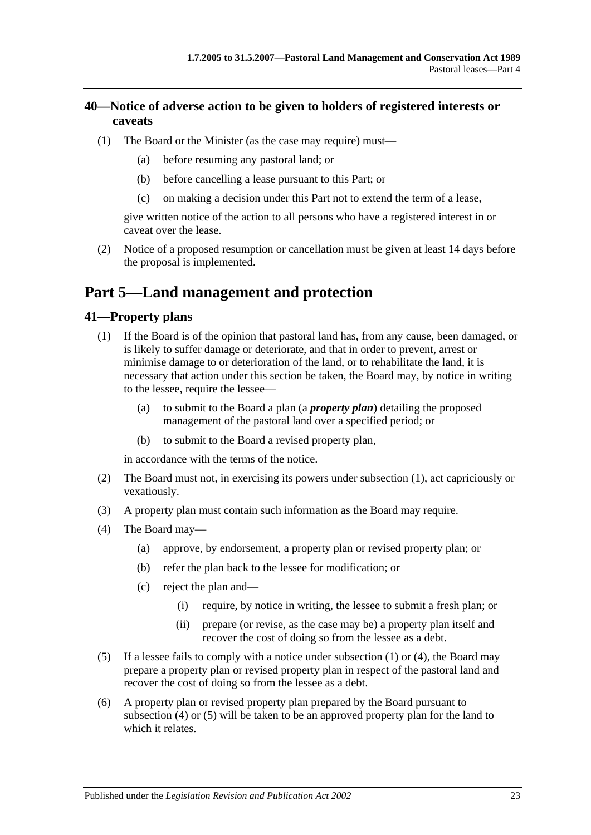# <span id="page-22-0"></span>**40—Notice of adverse action to be given to holders of registered interests or caveats**

- (1) The Board or the Minister (as the case may require) must—
	- (a) before resuming any pastoral land; or
	- (b) before cancelling a lease pursuant to this Part; or
	- (c) on making a decision under this Part not to extend the term of a lease,

give written notice of the action to all persons who have a registered interest in or caveat over the lease.

(2) Notice of a proposed resumption or cancellation must be given at least 14 days before the proposal is implemented.

# <span id="page-22-1"></span>**Part 5—Land management and protection**

# <span id="page-22-3"></span><span id="page-22-2"></span>**41—Property plans**

- (1) If the Board is of the opinion that pastoral land has, from any cause, been damaged, or is likely to suffer damage or deteriorate, and that in order to prevent, arrest or minimise damage to or deterioration of the land, or to rehabilitate the land, it is necessary that action under this section be taken, the Board may, by notice in writing to the lessee, require the lessee—
	- (a) to submit to the Board a plan (a *property plan*) detailing the proposed management of the pastoral land over a specified period; or
	- (b) to submit to the Board a revised property plan,

in accordance with the terms of the notice.

- (2) The Board must not, in exercising its powers under [subsection](#page-22-3) (1), act capriciously or vexatiously.
- (3) A property plan must contain such information as the Board may require.
- <span id="page-22-4"></span>(4) The Board may—
	- (a) approve, by endorsement, a property plan or revised property plan; or
	- (b) refer the plan back to the lessee for modification; or
	- (c) reject the plan and—
		- (i) require, by notice in writing, the lessee to submit a fresh plan; or
		- (ii) prepare (or revise, as the case may be) a property plan itself and recover the cost of doing so from the lessee as a debt.
- <span id="page-22-5"></span>(5) If a lessee fails to comply with a notice under [subsection](#page-22-3) (1) or [\(4\),](#page-22-4) the Board may prepare a property plan or revised property plan in respect of the pastoral land and recover the cost of doing so from the lessee as a debt.
- (6) A property plan or revised property plan prepared by the Board pursuant to [subsection](#page-22-4) (4) or [\(5\)](#page-22-5) will be taken to be an approved property plan for the land to which it relates.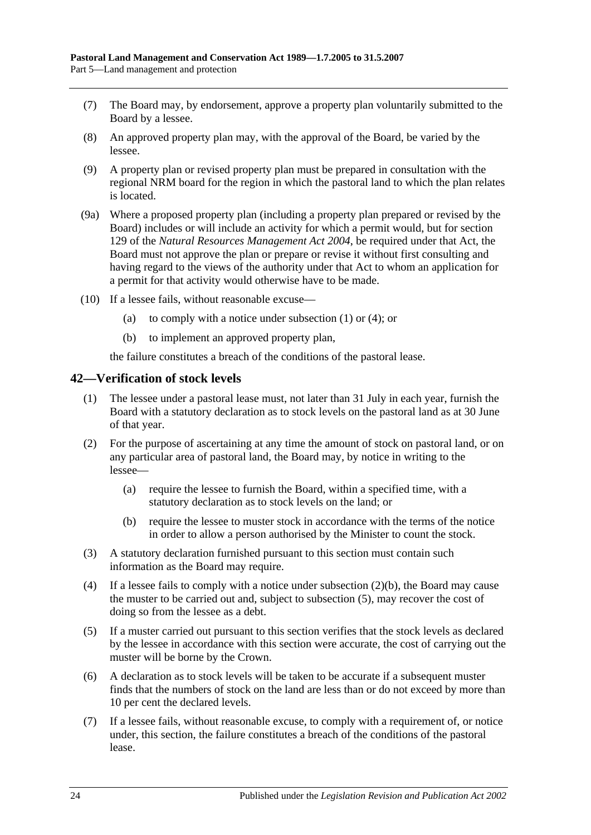- (7) The Board may, by endorsement, approve a property plan voluntarily submitted to the Board by a lessee.
- (8) An approved property plan may, with the approval of the Board, be varied by the lessee.
- (9) A property plan or revised property plan must be prepared in consultation with the regional NRM board for the region in which the pastoral land to which the plan relates is located.
- (9a) Where a proposed property plan (including a property plan prepared or revised by the Board) includes or will include an activity for which a permit would, but for section 129 of the *[Natural Resources Management Act](http://www.legislation.sa.gov.au/index.aspx?action=legref&type=act&legtitle=Natural%20Resources%20Management%20Act%202004) 2004*, be required under that Act, the Board must not approve the plan or prepare or revise it without first consulting and having regard to the views of the authority under that Act to whom an application for a permit for that activity would otherwise have to be made.
- (10) If a lessee fails, without reasonable excuse
	- (a) to comply with a notice under [subsection](#page-22-3)  $(1)$  or  $(4)$ ; or
	- (b) to implement an approved property plan,

the failure constitutes a breach of the conditions of the pastoral lease.

### <span id="page-23-0"></span>**42—Verification of stock levels**

- (1) The lessee under a pastoral lease must, not later than 31 July in each year, furnish the Board with a statutory declaration as to stock levels on the pastoral land as at 30 June of that year.
- (2) For the purpose of ascertaining at any time the amount of stock on pastoral land, or on any particular area of pastoral land, the Board may, by notice in writing to the lessee—
	- (a) require the lessee to furnish the Board, within a specified time, with a statutory declaration as to stock levels on the land; or
	- (b) require the lessee to muster stock in accordance with the terms of the notice in order to allow a person authorised by the Minister to count the stock.
- <span id="page-23-1"></span>(3) A statutory declaration furnished pursuant to this section must contain such information as the Board may require.
- (4) If a lessee fails to comply with a notice under [subsection](#page-23-1) (2)(b), the Board may cause the muster to be carried out and, subject to [subsection](#page-23-2) (5), may recover the cost of doing so from the lessee as a debt.
- <span id="page-23-2"></span>(5) If a muster carried out pursuant to this section verifies that the stock levels as declared by the lessee in accordance with this section were accurate, the cost of carrying out the muster will be borne by the Crown.
- (6) A declaration as to stock levels will be taken to be accurate if a subsequent muster finds that the numbers of stock on the land are less than or do not exceed by more than 10 per cent the declared levels.
- (7) If a lessee fails, without reasonable excuse, to comply with a requirement of, or notice under, this section, the failure constitutes a breach of the conditions of the pastoral lease.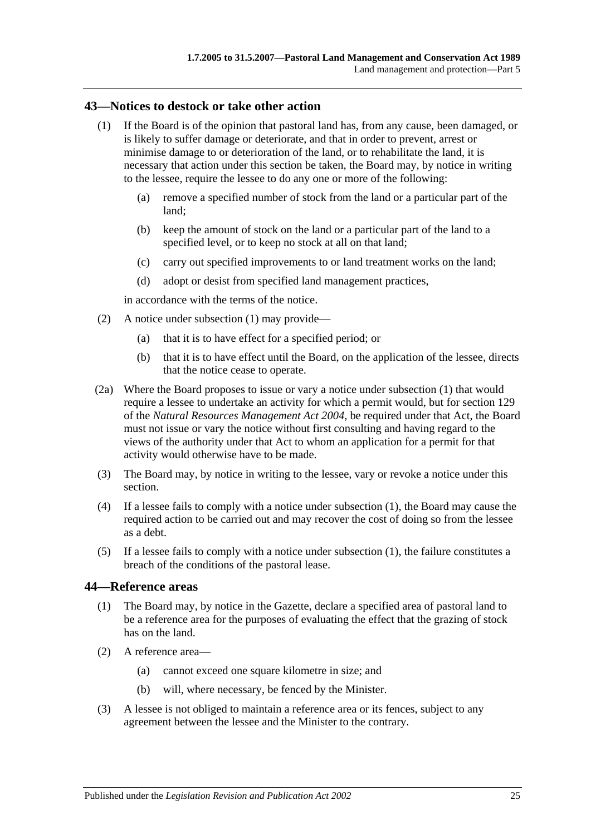### <span id="page-24-2"></span><span id="page-24-0"></span>**43—Notices to destock or take other action**

- (1) If the Board is of the opinion that pastoral land has, from any cause, been damaged, or is likely to suffer damage or deteriorate, and that in order to prevent, arrest or minimise damage to or deterioration of the land, or to rehabilitate the land, it is necessary that action under this section be taken, the Board may, by notice in writing to the lessee, require the lessee to do any one or more of the following:
	- (a) remove a specified number of stock from the land or a particular part of the land;
	- (b) keep the amount of stock on the land or a particular part of the land to a specified level, or to keep no stock at all on that land;
	- (c) carry out specified improvements to or land treatment works on the land;
	- (d) adopt or desist from specified land management practices,

in accordance with the terms of the notice.

- (2) A notice under [subsection](#page-24-2) (1) may provide—
	- (a) that it is to have effect for a specified period; or
	- (b) that it is to have effect until the Board, on the application of the lessee, directs that the notice cease to operate.
- (2a) Where the Board proposes to issue or vary a notice under [subsection](#page-24-2) (1) that would require a lessee to undertake an activity for which a permit would, but for section 129 of the *[Natural Resources Management Act](http://www.legislation.sa.gov.au/index.aspx?action=legref&type=act&legtitle=Natural%20Resources%20Management%20Act%202004) 2004*, be required under that Act, the Board must not issue or vary the notice without first consulting and having regard to the views of the authority under that Act to whom an application for a permit for that activity would otherwise have to be made.
- (3) The Board may, by notice in writing to the lessee, vary or revoke a notice under this section.
- (4) If a lessee fails to comply with a notice under [subsection](#page-24-2) (1), the Board may cause the required action to be carried out and may recover the cost of doing so from the lessee as a debt.
- (5) If a lessee fails to comply with a notice under [subsection](#page-24-2) (1), the failure constitutes a breach of the conditions of the pastoral lease.

### <span id="page-24-1"></span>**44—Reference areas**

- (1) The Board may, by notice in the Gazette, declare a specified area of pastoral land to be a reference area for the purposes of evaluating the effect that the grazing of stock has on the land.
- (2) A reference area—
	- (a) cannot exceed one square kilometre in size; and
	- (b) will, where necessary, be fenced by the Minister.
- (3) A lessee is not obliged to maintain a reference area or its fences, subject to any agreement between the lessee and the Minister to the contrary.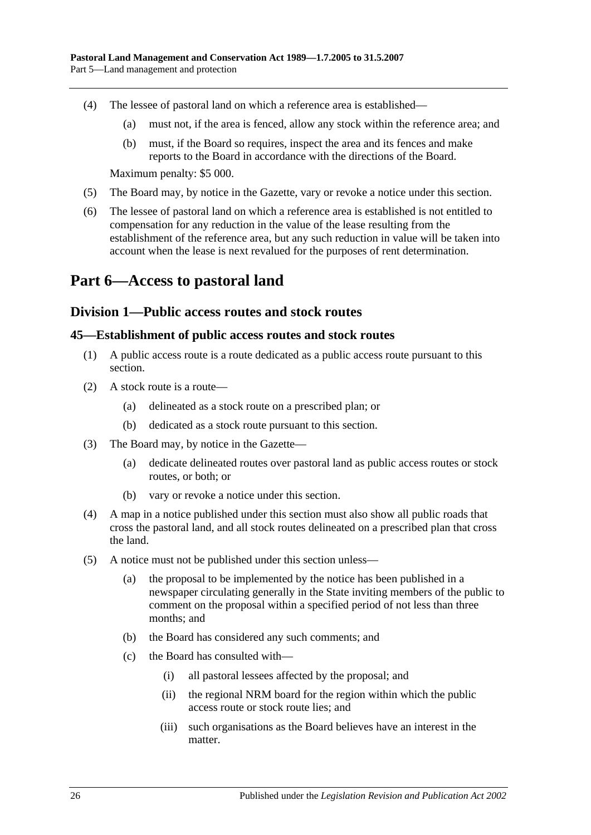- (4) The lessee of pastoral land on which a reference area is established—
	- (a) must not, if the area is fenced, allow any stock within the reference area; and
	- (b) must, if the Board so requires, inspect the area and its fences and make reports to the Board in accordance with the directions of the Board.

Maximum penalty: \$5 000.

- (5) The Board may, by notice in the Gazette, vary or revoke a notice under this section.
- (6) The lessee of pastoral land on which a reference area is established is not entitled to compensation for any reduction in the value of the lease resulting from the establishment of the reference area, but any such reduction in value will be taken into account when the lease is next revalued for the purposes of rent determination.

# <span id="page-25-1"></span><span id="page-25-0"></span>**Part 6—Access to pastoral land**

### **Division 1—Public access routes and stock routes**

### <span id="page-25-2"></span>**45—Establishment of public access routes and stock routes**

- (1) A public access route is a route dedicated as a public access route pursuant to this section.
- (2) A stock route is a route—
	- (a) delineated as a stock route on a prescribed plan; or
	- (b) dedicated as a stock route pursuant to this section.
- (3) The Board may, by notice in the Gazette—
	- (a) dedicate delineated routes over pastoral land as public access routes or stock routes, or both; or
	- (b) vary or revoke a notice under this section.
- (4) A map in a notice published under this section must also show all public roads that cross the pastoral land, and all stock routes delineated on a prescribed plan that cross the land.
- <span id="page-25-3"></span>(5) A notice must not be published under this section unless—
	- (a) the proposal to be implemented by the notice has been published in a newspaper circulating generally in the State inviting members of the public to comment on the proposal within a specified period of not less than three months; and
	- (b) the Board has considered any such comments; and
	- (c) the Board has consulted with—
		- (i) all pastoral lessees affected by the proposal; and
		- (ii) the regional NRM board for the region within which the public access route or stock route lies; and
		- (iii) such organisations as the Board believes have an interest in the matter.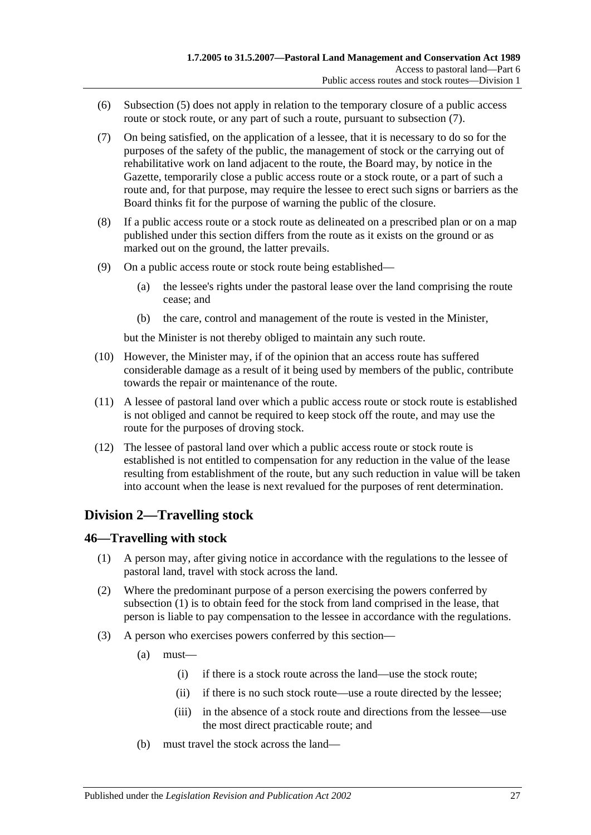- (6) [Subsection](#page-25-3) (5) does not apply in relation to the temporary closure of a public access route or stock route, or any part of such a route, pursuant to [subsection](#page-26-2)  $(7)$ .
- <span id="page-26-2"></span>(7) On being satisfied, on the application of a lessee, that it is necessary to do so for the purposes of the safety of the public, the management of stock or the carrying out of rehabilitative work on land adjacent to the route, the Board may, by notice in the Gazette, temporarily close a public access route or a stock route, or a part of such a route and, for that purpose, may require the lessee to erect such signs or barriers as the Board thinks fit for the purpose of warning the public of the closure.
- (8) If a public access route or a stock route as delineated on a prescribed plan or on a map published under this section differs from the route as it exists on the ground or as marked out on the ground, the latter prevails.
- (9) On a public access route or stock route being established—
	- (a) the lessee's rights under the pastoral lease over the land comprising the route cease; and
	- (b) the care, control and management of the route is vested in the Minister,

but the Minister is not thereby obliged to maintain any such route.

- (10) However, the Minister may, if of the opinion that an access route has suffered considerable damage as a result of it being used by members of the public, contribute towards the repair or maintenance of the route.
- (11) A lessee of pastoral land over which a public access route or stock route is established is not obliged and cannot be required to keep stock off the route, and may use the route for the purposes of droving stock.
- (12) The lessee of pastoral land over which a public access route or stock route is established is not entitled to compensation for any reduction in the value of the lease resulting from establishment of the route, but any such reduction in value will be taken into account when the lease is next revalued for the purposes of rent determination.

# <span id="page-26-0"></span>**Division 2—Travelling stock**

## <span id="page-26-3"></span><span id="page-26-1"></span>**46—Travelling with stock**

- (1) A person may, after giving notice in accordance with the regulations to the lessee of pastoral land, travel with stock across the land.
- (2) Where the predominant purpose of a person exercising the powers conferred by [subsection](#page-26-3) (1) is to obtain feed for the stock from land comprised in the lease, that person is liable to pay compensation to the lessee in accordance with the regulations.
- (3) A person who exercises powers conferred by this section—
	- (a) must—
		- (i) if there is a stock route across the land—use the stock route;
		- (ii) if there is no such stock route—use a route directed by the lessee;
		- (iii) in the absence of a stock route and directions from the lessee—use the most direct practicable route; and
	- (b) must travel the stock across the land—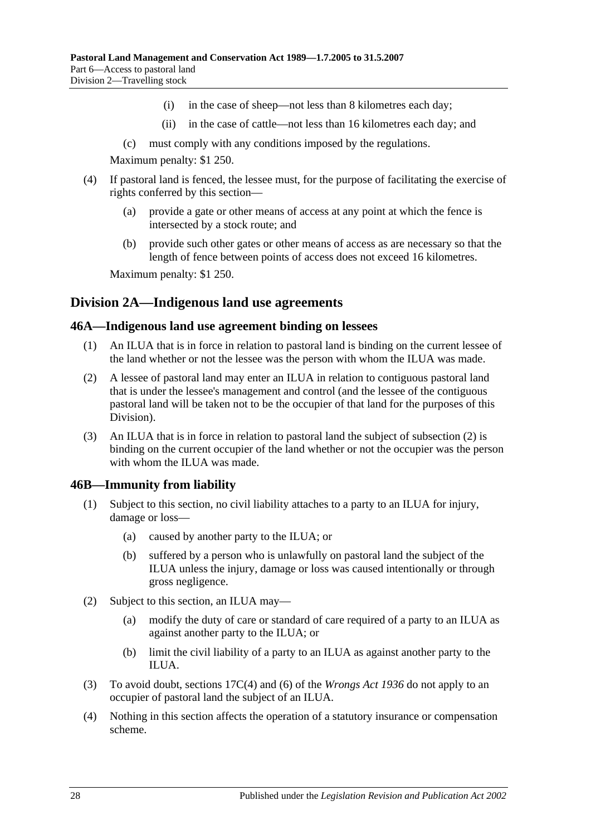- (i) in the case of sheep—not less than 8 kilometres each day;
- (ii) in the case of cattle—not less than 16 kilometres each day; and
- (c) must comply with any conditions imposed by the regulations.

Maximum penalty: \$1 250.

- (4) If pastoral land is fenced, the lessee must, for the purpose of facilitating the exercise of rights conferred by this section—
	- (a) provide a gate or other means of access at any point at which the fence is intersected by a stock route; and
	- (b) provide such other gates or other means of access as are necessary so that the length of fence between points of access does not exceed 16 kilometres.

Maximum penalty: \$1 250.

# <span id="page-27-0"></span>**Division 2A—Indigenous land use agreements**

### <span id="page-27-1"></span>**46A—Indigenous land use agreement binding on lessees**

- (1) An ILUA that is in force in relation to pastoral land is binding on the current lessee of the land whether or not the lessee was the person with whom the ILUA was made.
- <span id="page-27-3"></span>(2) A lessee of pastoral land may enter an ILUA in relation to contiguous pastoral land that is under the lessee's management and control (and the lessee of the contiguous pastoral land will be taken not to be the occupier of that land for the purposes of this Division).
- (3) An ILUA that is in force in relation to pastoral land the subject of [subsection](#page-27-3) (2) is binding on the current occupier of the land whether or not the occupier was the person with whom the ILUA was made.

## <span id="page-27-2"></span>**46B—Immunity from liability**

- (1) Subject to this section, no civil liability attaches to a party to an ILUA for injury, damage or loss—
	- (a) caused by another party to the ILUA; or
	- (b) suffered by a person who is unlawfully on pastoral land the subject of the ILUA unless the injury, damage or loss was caused intentionally or through gross negligence.
- (2) Subject to this section, an ILUA may—
	- (a) modify the duty of care or standard of care required of a party to an ILUA as against another party to the ILUA; or
	- (b) limit the civil liability of a party to an ILUA as against another party to the ILUA.
- (3) To avoid doubt, sections 17C(4) and (6) of the *[Wrongs Act](http://www.legislation.sa.gov.au/index.aspx?action=legref&type=act&legtitle=Wrongs%20Act%201936) 1936* do not apply to an occupier of pastoral land the subject of an ILUA.
- (4) Nothing in this section affects the operation of a statutory insurance or compensation scheme.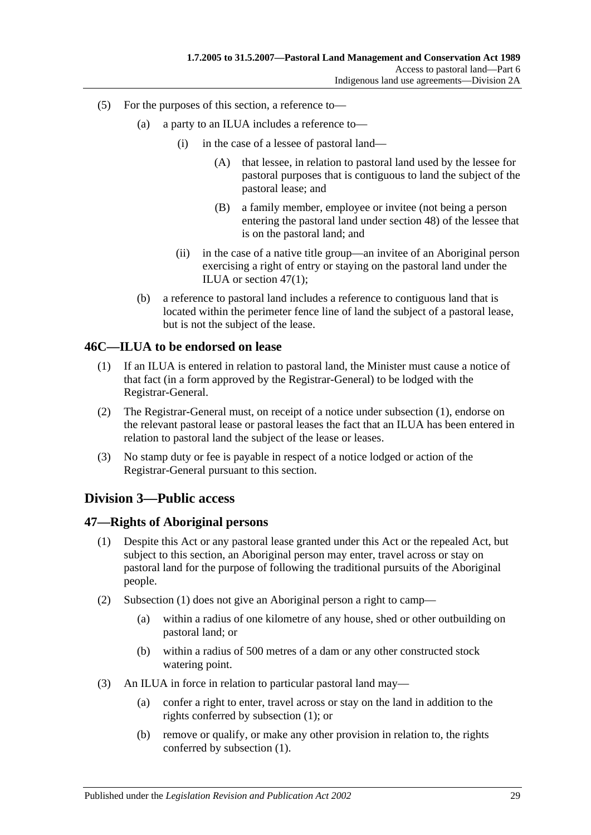- (5) For the purposes of this section, a reference to—
	- (a) a party to an ILUA includes a reference to—
		- (i) in the case of a lessee of pastoral land—
			- (A) that lessee, in relation to pastoral land used by the lessee for pastoral purposes that is contiguous to land the subject of the pastoral lease; and
			- (B) a family member, employee or invitee (not being a person entering the pastoral land under [section](#page-29-0) 48) of the lessee that is on the pastoral land; and
		- (ii) in the case of a native title group—an invitee of an Aboriginal person exercising a right of entry or staying on the pastoral land under the ILUA or [section](#page-28-3) 47(1);
	- (b) a reference to pastoral land includes a reference to contiguous land that is located within the perimeter fence line of land the subject of a pastoral lease, but is not the subject of the lease.

### <span id="page-28-4"></span><span id="page-28-0"></span>**46C—ILUA to be endorsed on lease**

- (1) If an ILUA is entered in relation to pastoral land, the Minister must cause a notice of that fact (in a form approved by the Registrar-General) to be lodged with the Registrar-General.
- (2) The Registrar-General must, on receipt of a notice under [subsection](#page-28-4) (1), endorse on the relevant pastoral lease or pastoral leases the fact that an ILUA has been entered in relation to pastoral land the subject of the lease or leases.
- (3) No stamp duty or fee is payable in respect of a notice lodged or action of the Registrar-General pursuant to this section.

## <span id="page-28-1"></span>**Division 3—Public access**

### <span id="page-28-3"></span><span id="page-28-2"></span>**47—Rights of Aboriginal persons**

- (1) Despite this Act or any pastoral lease granted under this Act or the repealed Act, but subject to this section, an Aboriginal person may enter, travel across or stay on pastoral land for the purpose of following the traditional pursuits of the Aboriginal people.
- (2) [Subsection](#page-28-3) (1) does not give an Aboriginal person a right to camp—
	- (a) within a radius of one kilometre of any house, shed or other outbuilding on pastoral land; or
	- (b) within a radius of 500 metres of a dam or any other constructed stock watering point.
- (3) An ILUA in force in relation to particular pastoral land may—
	- (a) confer a right to enter, travel across or stay on the land in addition to the rights conferred by [subsection](#page-28-3) (1); or
	- (b) remove or qualify, or make any other provision in relation to, the rights conferred by [subsection](#page-28-3) (1).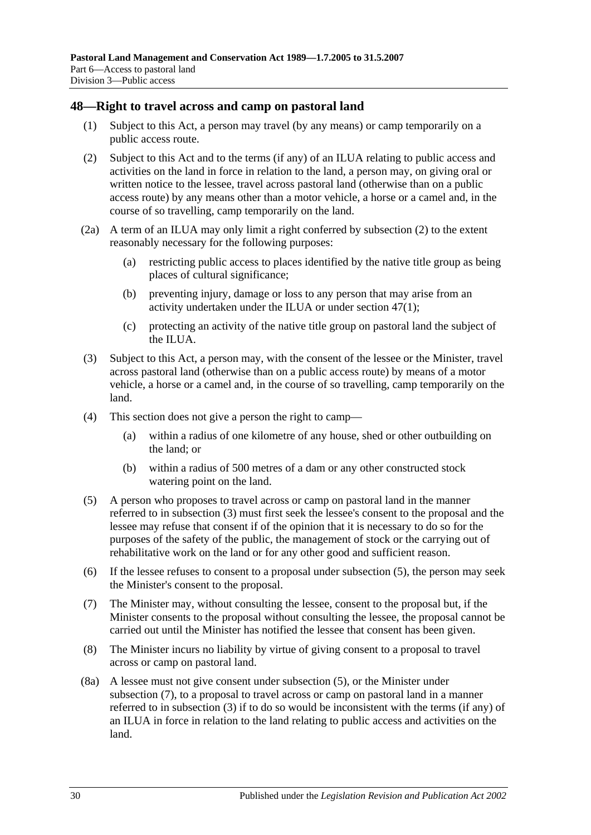### <span id="page-29-0"></span>**48—Right to travel across and camp on pastoral land**

- (1) Subject to this Act, a person may travel (by any means) or camp temporarily on a public access route.
- <span id="page-29-1"></span>(2) Subject to this Act and to the terms (if any) of an ILUA relating to public access and activities on the land in force in relation to the land, a person may, on giving oral or written notice to the lessee, travel across pastoral land (otherwise than on a public access route) by any means other than a motor vehicle, a horse or a camel and, in the course of so travelling, camp temporarily on the land.
- <span id="page-29-5"></span>(2a) A term of an ILUA may only limit a right conferred by [subsection](#page-29-1) (2) to the extent reasonably necessary for the following purposes:
	- (a) restricting public access to places identified by the native title group as being places of cultural significance;
	- (b) preventing injury, damage or loss to any person that may arise from an activity undertaken under the ILUA or under [section](#page-28-3) 47(1);
	- (c) protecting an activity of the native title group on pastoral land the subject of the ILUA.
- <span id="page-29-2"></span>(3) Subject to this Act, a person may, with the consent of the lessee or the Minister, travel across pastoral land (otherwise than on a public access route) by means of a motor vehicle, a horse or a camel and, in the course of so travelling, camp temporarily on the land.
- (4) This section does not give a person the right to camp—
	- (a) within a radius of one kilometre of any house, shed or other outbuilding on the land; or
	- (b) within a radius of 500 metres of a dam or any other constructed stock watering point on the land.
- <span id="page-29-3"></span>(5) A person who proposes to travel across or camp on pastoral land in the manner referred to in [subsection](#page-29-2) (3) must first seek the lessee's consent to the proposal and the lessee may refuse that consent if of the opinion that it is necessary to do so for the purposes of the safety of the public, the management of stock or the carrying out of rehabilitative work on the land or for any other good and sufficient reason.
- (6) If the lessee refuses to consent to a proposal under [subsection](#page-29-3) (5), the person may seek the Minister's consent to the proposal.
- <span id="page-29-4"></span>(7) The Minister may, without consulting the lessee, consent to the proposal but, if the Minister consents to the proposal without consulting the lessee, the proposal cannot be carried out until the Minister has notified the lessee that consent has been given.
- (8) The Minister incurs no liability by virtue of giving consent to a proposal to travel across or camp on pastoral land.
- (8a) A lessee must not give consent under [subsection](#page-29-3) (5), or the Minister under [subsection](#page-29-4) (7), to a proposal to travel across or camp on pastoral land in a manner referred to in [subsection](#page-29-2) (3) if to do so would be inconsistent with the terms (if any) of an ILUA in force in relation to the land relating to public access and activities on the land.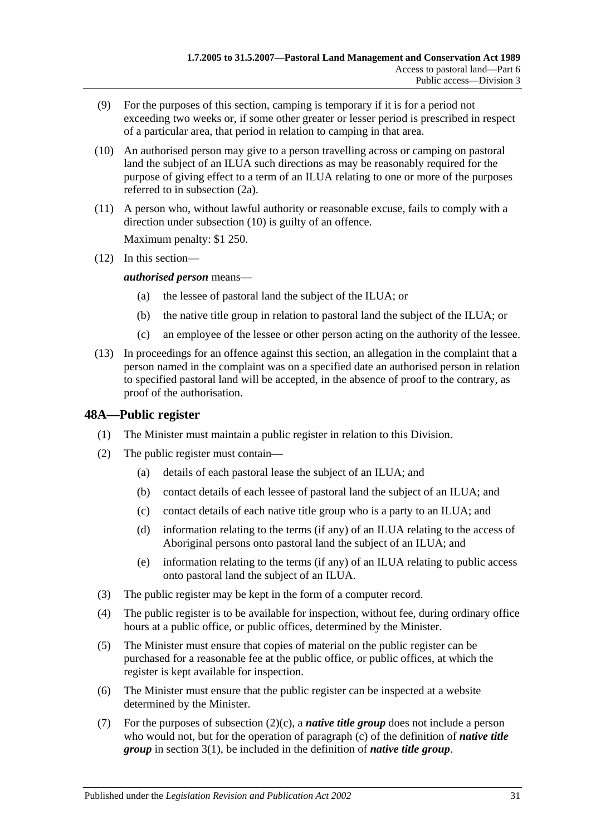- (9) For the purposes of this section, camping is temporary if it is for a period not exceeding two weeks or, if some other greater or lesser period is prescribed in respect of a particular area, that period in relation to camping in that area.
- <span id="page-30-1"></span>(10) An authorised person may give to a person travelling across or camping on pastoral land the subject of an ILUA such directions as may be reasonably required for the purpose of giving effect to a term of an ILUA relating to one or more of the purposes referred to in [subsection](#page-29-5) (2a).
- (11) A person who, without lawful authority or reasonable excuse, fails to comply with a direction under [subsection](#page-30-1) (10) is guilty of an offence.

Maximum penalty: \$1 250.

(12) In this section—

*authorised person* means—

- (a) the lessee of pastoral land the subject of the ILUA; or
- (b) the native title group in relation to pastoral land the subject of the ILUA; or
- (c) an employee of the lessee or other person acting on the authority of the lessee.
- (13) In proceedings for an offence against this section, an allegation in the complaint that a person named in the complaint was on a specified date an authorised person in relation to specified pastoral land will be accepted, in the absence of proof to the contrary, as proof of the authorisation.

# <span id="page-30-0"></span>**48A—Public register**

- (1) The Minister must maintain a public register in relation to this Division.
- <span id="page-30-2"></span>(2) The public register must contain—
	- (a) details of each pastoral lease the subject of an ILUA; and
	- (b) contact details of each lessee of pastoral land the subject of an ILUA; and
	- (c) contact details of each native title group who is a party to an ILUA; and
	- (d) information relating to the terms (if any) of an ILUA relating to the access of Aboriginal persons onto pastoral land the subject of an ILUA; and
	- (e) information relating to the terms (if any) of an ILUA relating to public access onto pastoral land the subject of an ILUA.
- (3) The public register may be kept in the form of a computer record.
- (4) The public register is to be available for inspection, without fee, during ordinary office hours at a public office, or public offices, determined by the Minister.
- (5) The Minister must ensure that copies of material on the public register can be purchased for a reasonable fee at the public office, or public offices, at which the register is kept available for inspection.
- (6) The Minister must ensure that the public register can be inspected at a website determined by the Minister.
- (7) For the purposes of [subsection](#page-30-2) (2)(c), a *native title group* does not include a person who would not, but for the operation of [paragraph](#page-3-0) (c) of the definition of *native title group* in [section](#page-2-3) 3(1), be included in the definition of *native title group*.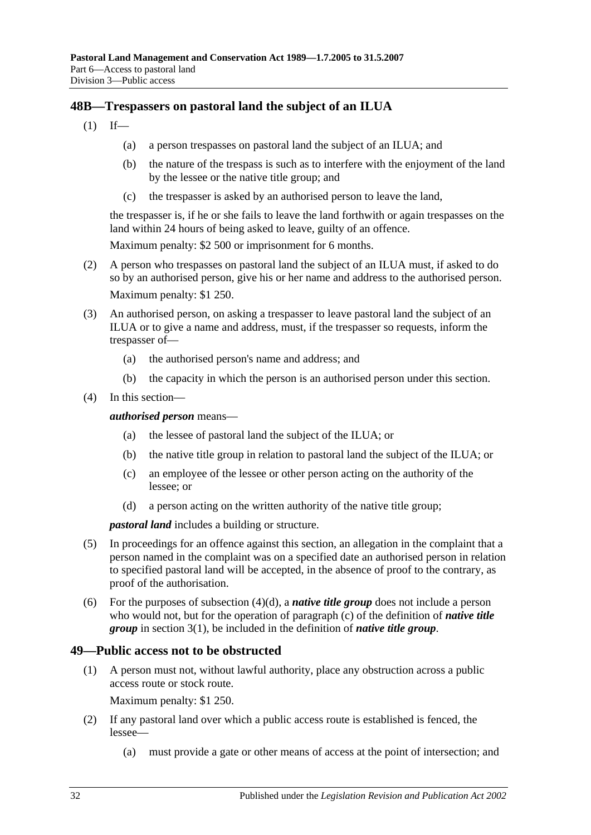# <span id="page-31-0"></span>**48B—Trespassers on pastoral land the subject of an ILUA**

- $(1)$  If—
	- (a) a person trespasses on pastoral land the subject of an ILUA; and
	- (b) the nature of the trespass is such as to interfere with the enjoyment of the land by the lessee or the native title group; and
	- (c) the trespasser is asked by an authorised person to leave the land,

the trespasser is, if he or she fails to leave the land forthwith or again trespasses on the land within 24 hours of being asked to leave, guilty of an offence.

Maximum penalty: \$2 500 or imprisonment for 6 months.

- (2) A person who trespasses on pastoral land the subject of an ILUA must, if asked to do so by an authorised person, give his or her name and address to the authorised person. Maximum penalty: \$1 250.
- (3) An authorised person, on asking a trespasser to leave pastoral land the subject of an ILUA or to give a name and address, must, if the trespasser so requests, inform the trespasser of—
	- (a) the authorised person's name and address; and
	- (b) the capacity in which the person is an authorised person under this section.
- (4) In this section—

*authorised person* means—

- (a) the lessee of pastoral land the subject of the ILUA; or
- (b) the native title group in relation to pastoral land the subject of the ILUA; or
- (c) an employee of the lessee or other person acting on the authority of the lessee; or
- (d) a person acting on the written authority of the native title group;

*pastoral land* includes a building or structure.

- <span id="page-31-2"></span>(5) In proceedings for an offence against this section, an allegation in the complaint that a person named in the complaint was on a specified date an authorised person in relation to specified pastoral land will be accepted, in the absence of proof to the contrary, as proof of the authorisation.
- (6) For the purposes of [subsection](#page-31-2) (4)(d), a *native title group* does not include a person who would not, but for the operation of [paragraph](#page-3-0) (c) of the definition of *native title group* in [section](#page-2-3) 3(1), be included in the definition of *native title group*.

### <span id="page-31-1"></span>**49—Public access not to be obstructed**

(1) A person must not, without lawful authority, place any obstruction across a public access route or stock route.

Maximum penalty: \$1 250.

- (2) If any pastoral land over which a public access route is established is fenced, the lessee—
	- (a) must provide a gate or other means of access at the point of intersection; and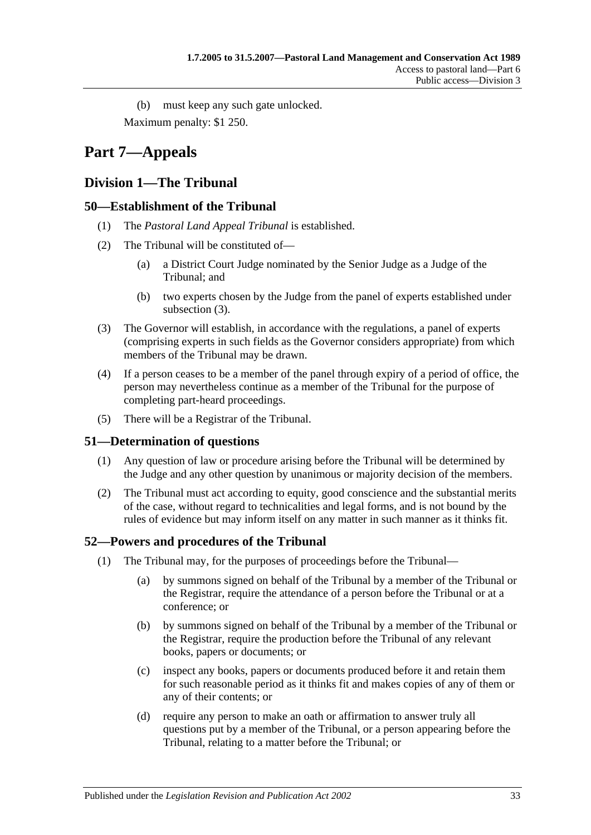(b) must keep any such gate unlocked. Maximum penalty: \$1 250.

# <span id="page-32-0"></span>**Part 7—Appeals**

# <span id="page-32-1"></span>**Division 1—The Tribunal**

# <span id="page-32-2"></span>**50—Establishment of the Tribunal**

- (1) The *Pastoral Land Appeal Tribunal* is established.
- (2) The Tribunal will be constituted of—
	- (a) a District Court Judge nominated by the Senior Judge as a Judge of the Tribunal; and
	- (b) two experts chosen by the Judge from the panel of experts established under [subsection](#page-32-5) (3).
- <span id="page-32-5"></span>(3) The Governor will establish, in accordance with the regulations, a panel of experts (comprising experts in such fields as the Governor considers appropriate) from which members of the Tribunal may be drawn.
- (4) If a person ceases to be a member of the panel through expiry of a period of office, the person may nevertheless continue as a member of the Tribunal for the purpose of completing part-heard proceedings.
- (5) There will be a Registrar of the Tribunal.

# <span id="page-32-3"></span>**51—Determination of questions**

- (1) Any question of law or procedure arising before the Tribunal will be determined by the Judge and any other question by unanimous or majority decision of the members.
- (2) The Tribunal must act according to equity, good conscience and the substantial merits of the case, without regard to technicalities and legal forms, and is not bound by the rules of evidence but may inform itself on any matter in such manner as it thinks fit.

# <span id="page-32-4"></span>**52—Powers and procedures of the Tribunal**

- (1) The Tribunal may, for the purposes of proceedings before the Tribunal—
	- (a) by summons signed on behalf of the Tribunal by a member of the Tribunal or the Registrar, require the attendance of a person before the Tribunal or at a conference; or
	- (b) by summons signed on behalf of the Tribunal by a member of the Tribunal or the Registrar, require the production before the Tribunal of any relevant books, papers or documents; or
	- (c) inspect any books, papers or documents produced before it and retain them for such reasonable period as it thinks fit and makes copies of any of them or any of their contents; or
	- (d) require any person to make an oath or affirmation to answer truly all questions put by a member of the Tribunal, or a person appearing before the Tribunal, relating to a matter before the Tribunal; or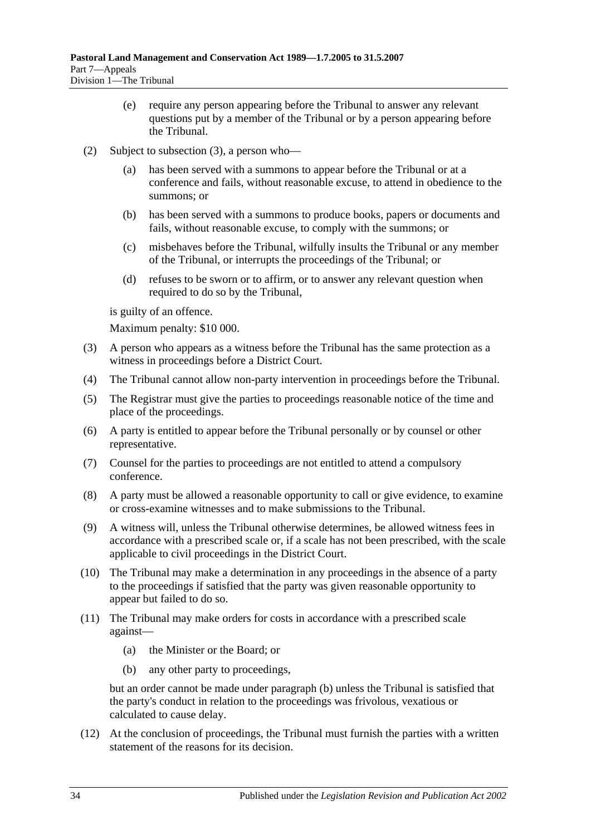- (e) require any person appearing before the Tribunal to answer any relevant questions put by a member of the Tribunal or by a person appearing before the Tribunal.
- (2) Subject to [subsection](#page-33-0) (3), a person who
	- has been served with a summons to appear before the Tribunal or at a conference and fails, without reasonable excuse, to attend in obedience to the summons; or
	- (b) has been served with a summons to produce books, papers or documents and fails, without reasonable excuse, to comply with the summons; or
	- (c) misbehaves before the Tribunal, wilfully insults the Tribunal or any member of the Tribunal, or interrupts the proceedings of the Tribunal; or
	- (d) refuses to be sworn or to affirm, or to answer any relevant question when required to do so by the Tribunal,

is guilty of an offence.

Maximum penalty: \$10 000.

- <span id="page-33-0"></span>(3) A person who appears as a witness before the Tribunal has the same protection as a witness in proceedings before a District Court.
- (4) The Tribunal cannot allow non-party intervention in proceedings before the Tribunal.
- (5) The Registrar must give the parties to proceedings reasonable notice of the time and place of the proceedings.
- (6) A party is entitled to appear before the Tribunal personally or by counsel or other representative.
- (7) Counsel for the parties to proceedings are not entitled to attend a compulsory conference.
- (8) A party must be allowed a reasonable opportunity to call or give evidence, to examine or cross-examine witnesses and to make submissions to the Tribunal.
- (9) A witness will, unless the Tribunal otherwise determines, be allowed witness fees in accordance with a prescribed scale or, if a scale has not been prescribed, with the scale applicable to civil proceedings in the District Court.
- (10) The Tribunal may make a determination in any proceedings in the absence of a party to the proceedings if satisfied that the party was given reasonable opportunity to appear but failed to do so.
- <span id="page-33-1"></span>(11) The Tribunal may make orders for costs in accordance with a prescribed scale against—
	- (a) the Minister or the Board; or
	- (b) any other party to proceedings,

but an order cannot be made under [paragraph](#page-33-1) (b) unless the Tribunal is satisfied that the party's conduct in relation to the proceedings was frivolous, vexatious or calculated to cause delay.

(12) At the conclusion of proceedings, the Tribunal must furnish the parties with a written statement of the reasons for its decision.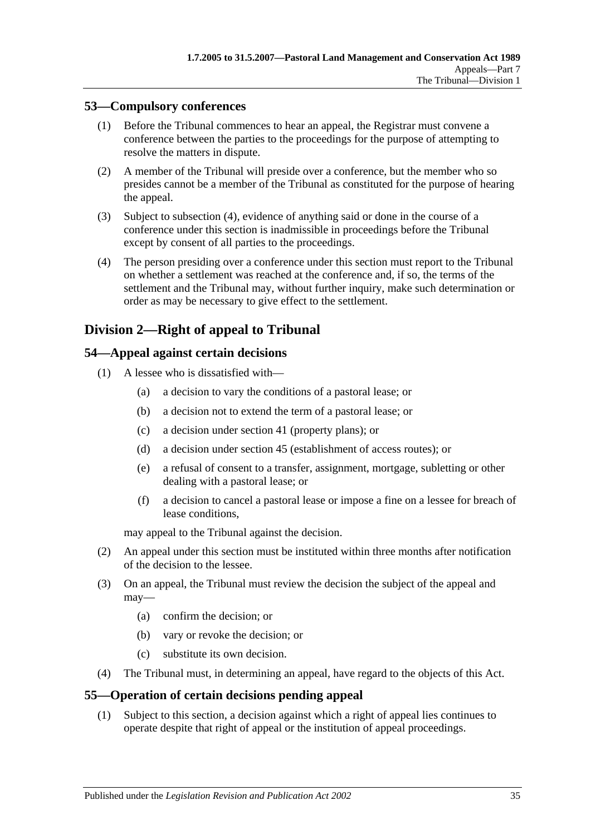# <span id="page-34-0"></span>**53—Compulsory conferences**

- (1) Before the Tribunal commences to hear an appeal, the Registrar must convene a conference between the parties to the proceedings for the purpose of attempting to resolve the matters in dispute.
- (2) A member of the Tribunal will preside over a conference, but the member who so presides cannot be a member of the Tribunal as constituted for the purpose of hearing the appeal.
- (3) Subject to [subsection](#page-34-4) (4), evidence of anything said or done in the course of a conference under this section is inadmissible in proceedings before the Tribunal except by consent of all parties to the proceedings.
- <span id="page-34-4"></span>(4) The person presiding over a conference under this section must report to the Tribunal on whether a settlement was reached at the conference and, if so, the terms of the settlement and the Tribunal may, without further inquiry, make such determination or order as may be necessary to give effect to the settlement.

# <span id="page-34-1"></span>**Division 2—Right of appeal to Tribunal**

# <span id="page-34-2"></span>**54—Appeal against certain decisions**

- (1) A lessee who is dissatisfied with—
	- (a) a decision to vary the conditions of a pastoral lease; or
	- (b) a decision not to extend the term of a pastoral lease; or
	- (c) a decision under [section](#page-22-2) 41 (property plans); or
	- (d) a decision under [section](#page-25-2) 45 (establishment of access routes); or
	- (e) a refusal of consent to a transfer, assignment, mortgage, subletting or other dealing with a pastoral lease; or
	- (f) a decision to cancel a pastoral lease or impose a fine on a lessee for breach of lease conditions,

may appeal to the Tribunal against the decision.

- (2) An appeal under this section must be instituted within three months after notification of the decision to the lessee.
- (3) On an appeal, the Tribunal must review the decision the subject of the appeal and may—
	- (a) confirm the decision; or
	- (b) vary or revoke the decision; or
	- (c) substitute its own decision.
- (4) The Tribunal must, in determining an appeal, have regard to the objects of this Act.

## <span id="page-34-3"></span>**55—Operation of certain decisions pending appeal**

(1) Subject to this section, a decision against which a right of appeal lies continues to operate despite that right of appeal or the institution of appeal proceedings.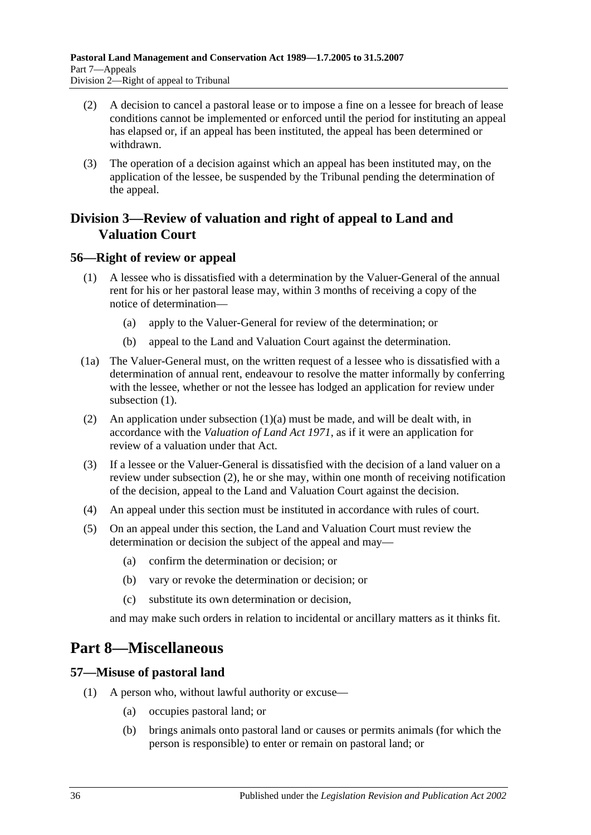- (2) A decision to cancel a pastoral lease or to impose a fine on a lessee for breach of lease conditions cannot be implemented or enforced until the period for instituting an appeal has elapsed or, if an appeal has been instituted, the appeal has been determined or withdrawn.
- (3) The operation of a decision against which an appeal has been instituted may, on the application of the lessee, be suspended by the Tribunal pending the determination of the appeal.

# <span id="page-35-0"></span>**Division 3—Review of valuation and right of appeal to Land and Valuation Court**

# <span id="page-35-4"></span><span id="page-35-1"></span>**56—Right of review or appeal**

- <span id="page-35-5"></span>(1) A lessee who is dissatisfied with a determination by the Valuer-General of the annual rent for his or her pastoral lease may, within 3 months of receiving a copy of the notice of determination—
	- (a) apply to the Valuer-General for review of the determination; or
	- (b) appeal to the Land and Valuation Court against the determination.
- (1a) The Valuer-General must, on the written request of a lessee who is dissatisfied with a determination of annual rent, endeavour to resolve the matter informally by conferring with the lessee, whether or not the lessee has lodged an application for review under [subsection](#page-35-4)  $(1)$ .
- <span id="page-35-6"></span>(2) An application under [subsection](#page-35-5) (1)(a) must be made, and will be dealt with, in accordance with the *[Valuation of Land Act](http://www.legislation.sa.gov.au/index.aspx?action=legref&type=act&legtitle=Valuation%20of%20Land%20Act%201971) 1971*, as if it were an application for review of a valuation under that Act.
- (3) If a lessee or the Valuer-General is dissatisfied with the decision of a land valuer on a review under [subsection](#page-35-6) (2), he or she may, within one month of receiving notification of the decision, appeal to the Land and Valuation Court against the decision.
- (4) An appeal under this section must be instituted in accordance with rules of court.
- (5) On an appeal under this section, the Land and Valuation Court must review the determination or decision the subject of the appeal and may—
	- (a) confirm the determination or decision; or
	- (b) vary or revoke the determination or decision; or
	- (c) substitute its own determination or decision,

and may make such orders in relation to incidental or ancillary matters as it thinks fit.

# <span id="page-35-2"></span>**Part 8—Miscellaneous**

# <span id="page-35-7"></span><span id="page-35-3"></span>**57—Misuse of pastoral land**

- (1) A person who, without lawful authority or excuse—
	- (a) occupies pastoral land; or
	- (b) brings animals onto pastoral land or causes or permits animals (for which the person is responsible) to enter or remain on pastoral land; or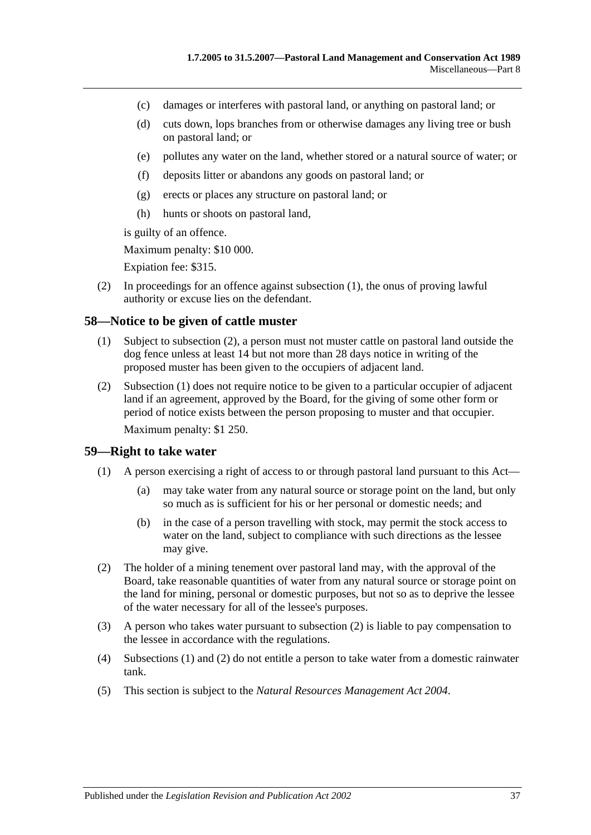- (c) damages or interferes with pastoral land, or anything on pastoral land; or
- (d) cuts down, lops branches from or otherwise damages any living tree or bush on pastoral land; or
- (e) pollutes any water on the land, whether stored or a natural source of water; or
- (f) deposits litter or abandons any goods on pastoral land; or
- (g) erects or places any structure on pastoral land; or
- (h) hunts or shoots on pastoral land,

is guilty of an offence.

Maximum penalty: \$10 000.

Expiation fee: \$315.

(2) In proceedings for an offence against [subsection](#page-35-7) (1), the onus of proving lawful authority or excuse lies on the defendant.

### <span id="page-36-3"></span><span id="page-36-0"></span>**58—Notice to be given of cattle muster**

- (1) Subject to [subsection](#page-36-2) (2), a person must not muster cattle on pastoral land outside the dog fence unless at least 14 but not more than 28 days notice in writing of the proposed muster has been given to the occupiers of adjacent land.
- <span id="page-36-2"></span>(2) [Subsection](#page-36-3) (1) does not require notice to be given to a particular occupier of adjacent land if an agreement, approved by the Board, for the giving of some other form or period of notice exists between the person proposing to muster and that occupier. Maximum penalty: \$1 250.

### <span id="page-36-5"></span><span id="page-36-1"></span>**59—Right to take water**

- (1) A person exercising a right of access to or through pastoral land pursuant to this Act—
	- (a) may take water from any natural source or storage point on the land, but only so much as is sufficient for his or her personal or domestic needs; and
	- (b) in the case of a person travelling with stock, may permit the stock access to water on the land, subject to compliance with such directions as the lessee may give.
- <span id="page-36-4"></span>(2) The holder of a mining tenement over pastoral land may, with the approval of the Board, take reasonable quantities of water from any natural source or storage point on the land for mining, personal or domestic purposes, but not so as to deprive the lessee of the water necessary for all of the lessee's purposes.
- (3) A person who takes water pursuant to [subsection](#page-36-4) (2) is liable to pay compensation to the lessee in accordance with the regulations.
- (4) [Subsections](#page-36-5) (1) and [\(2\)](#page-36-4) do not entitle a person to take water from a domestic rainwater tank.
- (5) This section is subject to the *[Natural Resources Management Act](http://www.legislation.sa.gov.au/index.aspx?action=legref&type=act&legtitle=Natural%20Resources%20Management%20Act%202004) 2004*.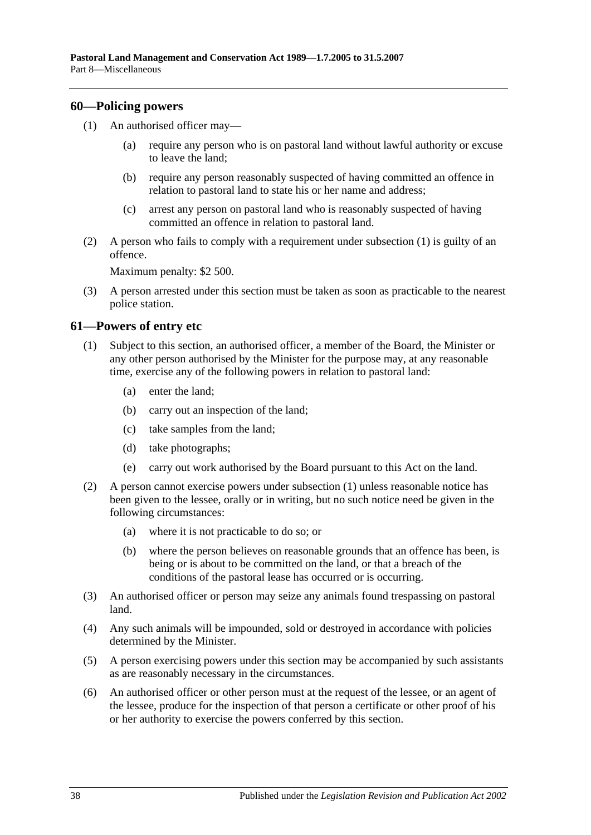### <span id="page-37-2"></span><span id="page-37-0"></span>**60—Policing powers**

- (1) An authorised officer may—
	- (a) require any person who is on pastoral land without lawful authority or excuse to leave the land;
	- (b) require any person reasonably suspected of having committed an offence in relation to pastoral land to state his or her name and address;
	- (c) arrest any person on pastoral land who is reasonably suspected of having committed an offence in relation to pastoral land.
- (2) A person who fails to comply with a requirement under [subsection](#page-37-2) (1) is guilty of an offence.

Maximum penalty: \$2 500.

(3) A person arrested under this section must be taken as soon as practicable to the nearest police station.

### <span id="page-37-3"></span><span id="page-37-1"></span>**61—Powers of entry etc**

- (1) Subject to this section, an authorised officer, a member of the Board, the Minister or any other person authorised by the Minister for the purpose may, at any reasonable time, exercise any of the following powers in relation to pastoral land:
	- (a) enter the land;
	- (b) carry out an inspection of the land;
	- (c) take samples from the land;
	- (d) take photographs;
	- (e) carry out work authorised by the Board pursuant to this Act on the land.
- (2) A person cannot exercise powers under [subsection](#page-37-3) (1) unless reasonable notice has been given to the lessee, orally or in writing, but no such notice need be given in the following circumstances:
	- (a) where it is not practicable to do so; or
	- (b) where the person believes on reasonable grounds that an offence has been, is being or is about to be committed on the land, or that a breach of the conditions of the pastoral lease has occurred or is occurring.
- (3) An authorised officer or person may seize any animals found trespassing on pastoral land.
- (4) Any such animals will be impounded, sold or destroyed in accordance with policies determined by the Minister.
- (5) A person exercising powers under this section may be accompanied by such assistants as are reasonably necessary in the circumstances.
- (6) An authorised officer or other person must at the request of the lessee, or an agent of the lessee, produce for the inspection of that person a certificate or other proof of his or her authority to exercise the powers conferred by this section.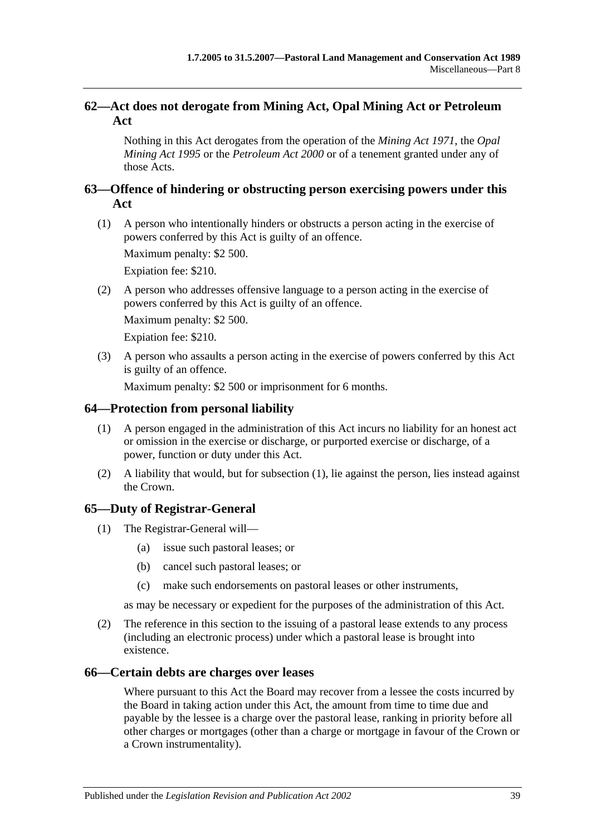# <span id="page-38-0"></span>**62—Act does not derogate from Mining Act, Opal Mining Act or Petroleum Act**

Nothing in this Act derogates from the operation of the *[Mining Act](http://www.legislation.sa.gov.au/index.aspx?action=legref&type=act&legtitle=Mining%20Act%201971) 1971*, the *[Opal](http://www.legislation.sa.gov.au/index.aspx?action=legref&type=act&legtitle=Opal%20Mining%20Act%201995)  [Mining Act](http://www.legislation.sa.gov.au/index.aspx?action=legref&type=act&legtitle=Opal%20Mining%20Act%201995) 1995* or the *[Petroleum Act](http://www.legislation.sa.gov.au/index.aspx?action=legref&type=act&legtitle=Petroleum%20Act%202000) 2000* or of a tenement granted under any of those Acts.

# <span id="page-38-1"></span>**63—Offence of hindering or obstructing person exercising powers under this Act**

(1) A person who intentionally hinders or obstructs a person acting in the exercise of powers conferred by this Act is guilty of an offence.

Maximum penalty: \$2 500.

Expiation fee: \$210.

(2) A person who addresses offensive language to a person acting in the exercise of powers conferred by this Act is guilty of an offence.

Maximum penalty: \$2 500.

Expiation fee: \$210.

(3) A person who assaults a person acting in the exercise of powers conferred by this Act is guilty of an offence.

Maximum penalty: \$2 500 or imprisonment for 6 months.

# <span id="page-38-5"></span><span id="page-38-2"></span>**64—Protection from personal liability**

- (1) A person engaged in the administration of this Act incurs no liability for an honest act or omission in the exercise or discharge, or purported exercise or discharge, of a power, function or duty under this Act.
- (2) A liability that would, but for [subsection](#page-38-5) (1), lie against the person, lies instead against the Crown.

# <span id="page-38-3"></span>**65—Duty of Registrar-General**

- (1) The Registrar-General will—
	- (a) issue such pastoral leases; or
	- (b) cancel such pastoral leases; or
	- (c) make such endorsements on pastoral leases or other instruments,

as may be necessary or expedient for the purposes of the administration of this Act.

(2) The reference in this section to the issuing of a pastoral lease extends to any process (including an electronic process) under which a pastoral lease is brought into existence.

## <span id="page-38-4"></span>**66—Certain debts are charges over leases**

Where pursuant to this Act the Board may recover from a lessee the costs incurred by the Board in taking action under this Act, the amount from time to time due and payable by the lessee is a charge over the pastoral lease, ranking in priority before all other charges or mortgages (other than a charge or mortgage in favour of the Crown or a Crown instrumentality).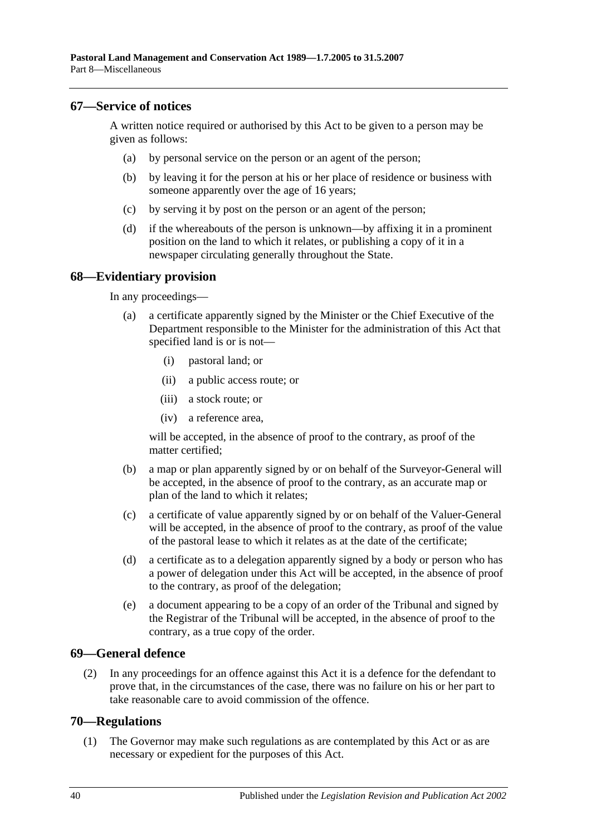### <span id="page-39-0"></span>**67—Service of notices**

A written notice required or authorised by this Act to be given to a person may be given as follows:

- (a) by personal service on the person or an agent of the person;
- (b) by leaving it for the person at his or her place of residence or business with someone apparently over the age of 16 years;
- (c) by serving it by post on the person or an agent of the person;
- (d) if the whereabouts of the person is unknown—by affixing it in a prominent position on the land to which it relates, or publishing a copy of it in a newspaper circulating generally throughout the State.

### <span id="page-39-1"></span>**68—Evidentiary provision**

In any proceedings—

- (a) a certificate apparently signed by the Minister or the Chief Executive of the Department responsible to the Minister for the administration of this Act that specified land is or is not—
	- (i) pastoral land; or
	- (ii) a public access route; or
	- (iii) a stock route; or
	- (iv) a reference area,

will be accepted, in the absence of proof to the contrary, as proof of the matter certified;

- (b) a map or plan apparently signed by or on behalf of the Surveyor-General will be accepted, in the absence of proof to the contrary, as an accurate map or plan of the land to which it relates;
- (c) a certificate of value apparently signed by or on behalf of the Valuer-General will be accepted, in the absence of proof to the contrary, as proof of the value of the pastoral lease to which it relates as at the date of the certificate;
- (d) a certificate as to a delegation apparently signed by a body or person who has a power of delegation under this Act will be accepted, in the absence of proof to the contrary, as proof of the delegation;
- (e) a document appearing to be a copy of an order of the Tribunal and signed by the Registrar of the Tribunal will be accepted, in the absence of proof to the contrary, as a true copy of the order.

### <span id="page-39-2"></span>**69—General defence**

(2) In any proceedings for an offence against this Act it is a defence for the defendant to prove that, in the circumstances of the case, there was no failure on his or her part to take reasonable care to avoid commission of the offence.

### <span id="page-39-4"></span><span id="page-39-3"></span>**70—Regulations**

(1) The Governor may make such regulations as are contemplated by this Act or as are necessary or expedient for the purposes of this Act.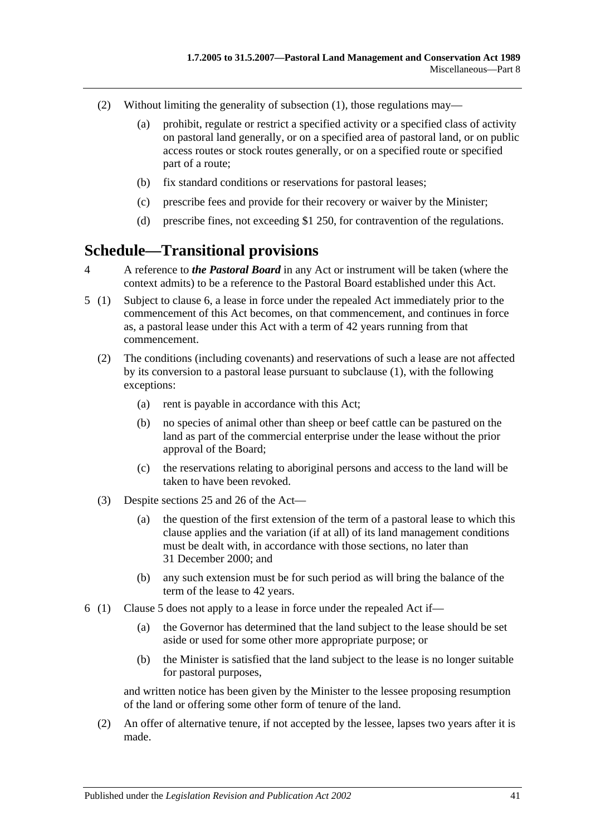- (2) Without limiting the generality of [subsection](#page-39-4) (1), those regulations may—
	- (a) prohibit, regulate or restrict a specified activity or a specified class of activity on pastoral land generally, or on a specified area of pastoral land, or on public access routes or stock routes generally, or on a specified route or specified part of a route;
	- (b) fix standard conditions or reservations for pastoral leases;
	- (c) prescribe fees and provide for their recovery or waiver by the Minister;
	- (d) prescribe fines, not exceeding \$1 250, for contravention of the regulations.

# <span id="page-40-0"></span>**Schedule—Transitional provisions**

- 4 A reference to *the Pastoral Board* in any Act or instrument will be taken (where the context admits) to be a reference to the Pastoral Board established under this Act.
- <span id="page-40-2"></span>5 (1) Subject to [clause](#page-40-1) 6, a lease in force under the repealed Act immediately prior to the commencement of this Act becomes, on that commencement, and continues in force as, a pastoral lease under this Act with a term of 42 years running from that commencement.
	- (2) The conditions (including covenants) and reservations of such a lease are not affected by its conversion to a pastoral lease pursuant to subclause (1), with the following exceptions:
		- (a) rent is payable in accordance with this Act;
		- (b) no species of animal other than sheep or beef cattle can be pastured on the land as part of the commercial enterprise under the lease without the prior approval of the Board;
		- (c) the reservations relating to aboriginal persons and access to the land will be taken to have been revoked.
	- (3) Despite [sections](#page-15-0) 25 and [26](#page-17-0) of the Act—
		- (a) the question of the first extension of the term of a pastoral lease to which this clause applies and the variation (if at all) of its land management conditions must be dealt with, in accordance with those sections, no later than 31 December 2000; and
		- (b) any such extension must be for such period as will bring the balance of the term of the lease to 42 years.
- <span id="page-40-1"></span>6 (1) [Clause](#page-40-2) 5 does not apply to a lease in force under the repealed Act if—
	- (a) the Governor has determined that the land subject to the lease should be set aside or used for some other more appropriate purpose; or
	- (b) the Minister is satisfied that the land subject to the lease is no longer suitable for pastoral purposes,

and written notice has been given by the Minister to the lessee proposing resumption of the land or offering some other form of tenure of the land.

(2) An offer of alternative tenure, if not accepted by the lessee, lapses two years after it is made.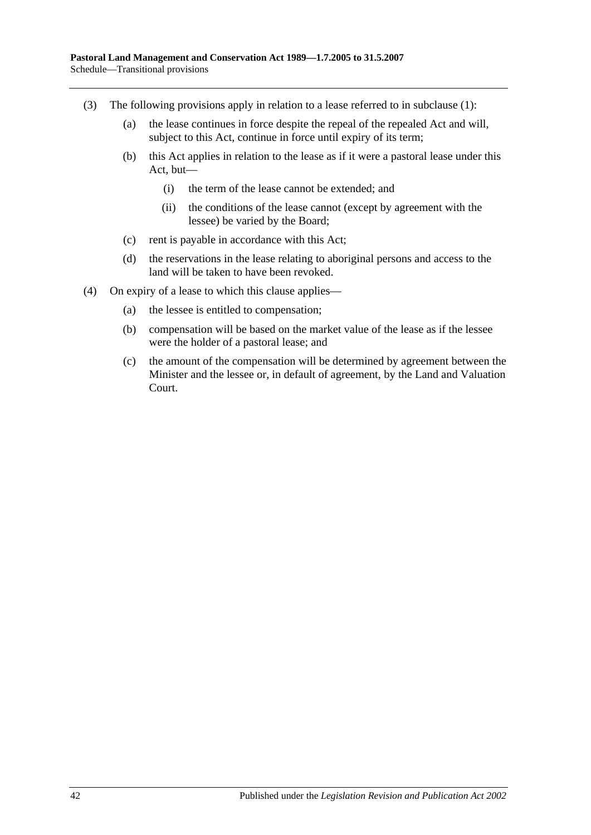- (3) The following provisions apply in relation to a lease referred to in subclause (1):
	- (a) the lease continues in force despite the repeal of the repealed Act and will, subject to this Act, continue in force until expiry of its term;
	- (b) this Act applies in relation to the lease as if it were a pastoral lease under this Act, but—
		- (i) the term of the lease cannot be extended; and
		- (ii) the conditions of the lease cannot (except by agreement with the lessee) be varied by the Board;
	- (c) rent is payable in accordance with this Act;
	- (d) the reservations in the lease relating to aboriginal persons and access to the land will be taken to have been revoked.
- (4) On expiry of a lease to which this clause applies—
	- (a) the lessee is entitled to compensation;
	- (b) compensation will be based on the market value of the lease as if the lessee were the holder of a pastoral lease; and
	- (c) the amount of the compensation will be determined by agreement between the Minister and the lessee or, in default of agreement, by the Land and Valuation Court.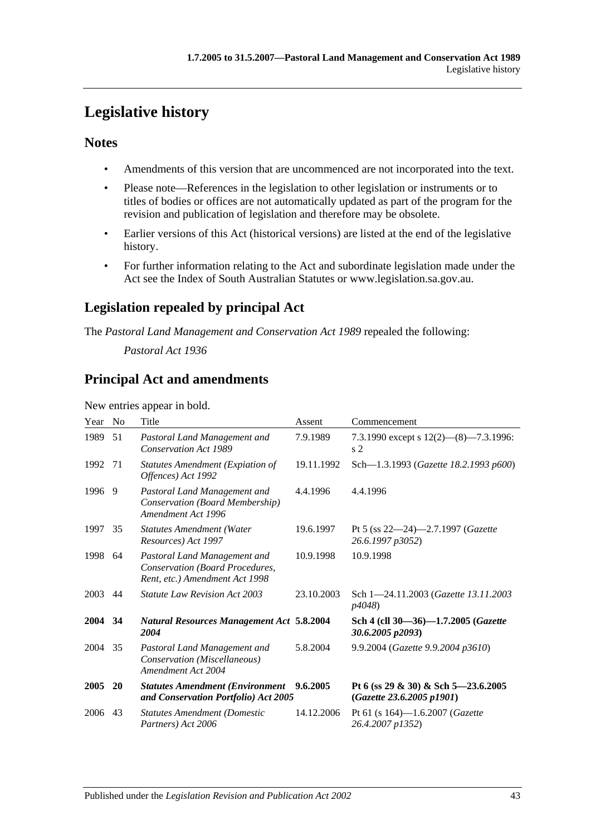# <span id="page-42-0"></span>**Legislative history**

# **Notes**

- Amendments of this version that are uncommenced are not incorporated into the text.
- Please note—References in the legislation to other legislation or instruments or to titles of bodies or offices are not automatically updated as part of the program for the revision and publication of legislation and therefore may be obsolete.
- Earlier versions of this Act (historical versions) are listed at the end of the legislative history.
- For further information relating to the Act and subordinate legislation made under the Act see the Index of South Australian Statutes or www.legislation.sa.gov.au.

# **Legislation repealed by principal Act**

The *Pastoral Land Management and Conservation Act 1989* repealed the following:

*Pastoral Act 1936*

# **Principal Act and amendments**

New entries appear in bold.

| Year | N <sub>0</sub> | Title                                                                                             | Assent     | Commencement                                                     |
|------|----------------|---------------------------------------------------------------------------------------------------|------------|------------------------------------------------------------------|
| 1989 | 51             | Pastoral Land Management and<br><b>Conservation Act 1989</b>                                      | 7.9.1989   | 7.3.1990 except s $12(2)$ — $(8)$ —7.3.1996:<br>s <sub>2</sub>   |
| 1992 | 71             | <b>Statutes Amendment (Expiation of</b><br>Offences) Act 1992                                     | 19.11.1992 | Sch-1.3.1993 (Gazette 18.2.1993 p600)                            |
| 1996 | 9              | Pastoral Land Management and<br>Conservation (Board Membership)<br>Amendment Act 1996             | 4.4.1996   | 4.4.1996                                                         |
| 1997 | 35             | <b>Statutes Amendment (Water</b><br>Resources) Act 1997                                           | 19.6.1997  | Pt 5 (ss 22-24)-2.7.1997 (Gazette<br>26.6.1997 p3052)            |
| 1998 | 64             | Pastoral Land Management and<br>Conservation (Board Procedures,<br>Rent, etc.) Amendment Act 1998 | 10.9.1998  | 10.9.1998                                                        |
| 2003 | 44             | <b>Statute Law Revision Act 2003</b>                                                              | 23.10.2003 | Sch 1-24.11.2003 ( <i>Gazette 13.11.2003</i><br>p4048)           |
| 2004 | 34             | <b>Natural Resources Management Act 5.8.2004</b><br>2004                                          |            | Sch 4 (cll 30-36)-1.7.2005 (Gazette<br>30.6.2005 p2093)          |
| 2004 | 35             | Pastoral Land Management and<br>Conservation (Miscellaneous)<br>Amendment Act 2004                | 5.8.2004   | 9.9.2004 (Gazette 9.9.2004 p3610)                                |
| 2005 | <b>20</b>      | <b>Statutes Amendment (Environment</b><br>and Conservation Portfolio) Act 2005                    | 9.6.2005   | Pt 6 (ss 29 & 30) & Sch 5-23.6.2005<br>(Gazette 23.6.2005 p1901) |
| 2006 | 43             | <b>Statutes Amendment (Domestic</b><br>Partners) Act 2006                                         | 14.12.2006 | Pt 61 (s 164)-1.6.2007 (Gazette<br>26.4.2007 p1352)              |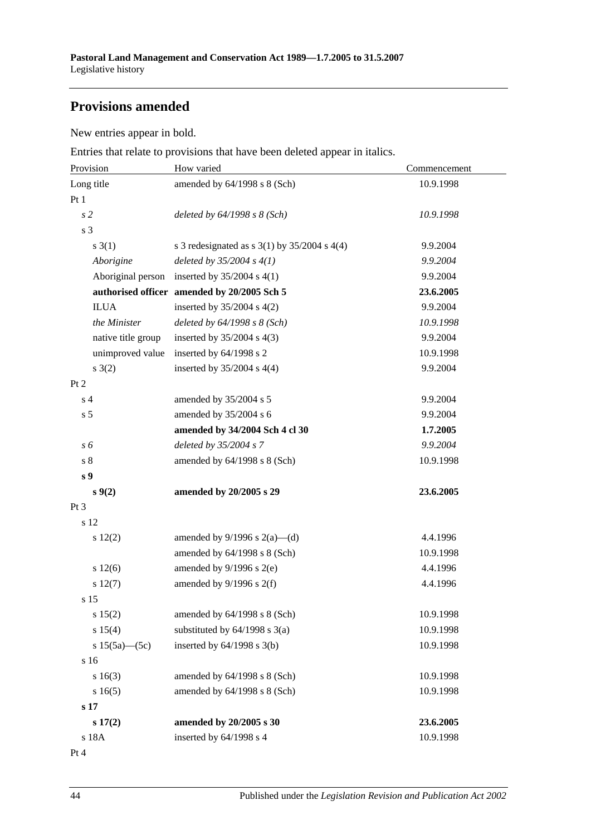# **Provisions amended**

New entries appear in bold.

Entries that relate to provisions that have been deleted appear in italics.

| Provision           | How varied                                         | Commencement |  |
|---------------------|----------------------------------------------------|--------------|--|
| Long title          | amended by 64/1998 s 8 (Sch)                       | 10.9.1998    |  |
| Pt1                 |                                                    |              |  |
| s <sub>2</sub>      | deleted by $64/1998 s 8 (Sch)$                     | 10.9.1998    |  |
| s 3                 |                                                    |              |  |
| $s \; 3(1)$         | s 3 redesignated as s $3(1)$ by $35/2004$ s $4(4)$ | 9.9.2004     |  |
| Aborigine           | deleted by $35/2004 s 4(1)$                        | 9.9.2004     |  |
| Aboriginal person   | inserted by $35/2004$ s 4(1)                       | 9.9.2004     |  |
|                     | authorised officer amended by 20/2005 Sch 5        | 23.6.2005    |  |
| <b>ILUA</b>         | inserted by $35/2004$ s $4(2)$                     | 9.9.2004     |  |
| the Minister        | deleted by $64/1998 s 8 (Sch)$                     | 10.9.1998    |  |
| native title group  | inserted by $35/2004$ s 4(3)                       | 9.9.2004     |  |
| unimproved value    | inserted by 64/1998 s 2                            | 10.9.1998    |  |
| s(2)                | inserted by $35/2004$ s 4(4)                       | 9.9.2004     |  |
| Pt 2                |                                                    |              |  |
| s <sub>4</sub>      | amended by 35/2004 s 5                             | 9.9.2004     |  |
| s <sub>5</sub>      | amended by 35/2004 s 6                             | 9.9.2004     |  |
|                     | amended by 34/2004 Sch 4 cl 30                     | 1.7.2005     |  |
| s 6                 | deleted by 35/2004 s 7                             | 9.9.2004     |  |
| s <sub>8</sub>      | amended by $64/1998$ s $8$ (Sch)                   | 10.9.1998    |  |
| s <sub>9</sub>      |                                                    |              |  |
| s(2)                | amended by 20/2005 s 29                            | 23.6.2005    |  |
| Pt 3                |                                                    |              |  |
| s 12                |                                                    |              |  |
| s 12(2)             | amended by $9/1996$ s $2(a)$ —(d)                  | 4.4.1996     |  |
|                     | amended by 64/1998 s 8 (Sch)                       | 10.9.1998    |  |
| s 12(6)             | amended by $9/1996$ s $2(e)$                       | 4.4.1996     |  |
| s 12(7)             | amended by $9/1996$ s $2(f)$                       | 4.4.1996     |  |
| s <sub>15</sub>     |                                                    |              |  |
| s 15(2)             | amended by 64/1998 s 8 (Sch)                       | 10.9.1998    |  |
| s 15(4)             | substituted by $64/1998$ s $3(a)$                  | 10.9.1998    |  |
| s $15(5a)$ - $(5c)$ | inserted by $64/1998$ s $3(b)$                     | 10.9.1998    |  |
| s 16                |                                                    |              |  |
| s 16(3)             | amended by 64/1998 s 8 (Sch)                       | 10.9.1998    |  |
| s16(5)              | amended by 64/1998 s 8 (Sch)                       | 10.9.1998    |  |
| s <sub>17</sub>     |                                                    |              |  |
| s 17(2)             | amended by 20/2005 s 30                            | 23.6.2005    |  |
| s 18A               | inserted by 64/1998 s 4                            | 10.9.1998    |  |

Pt 4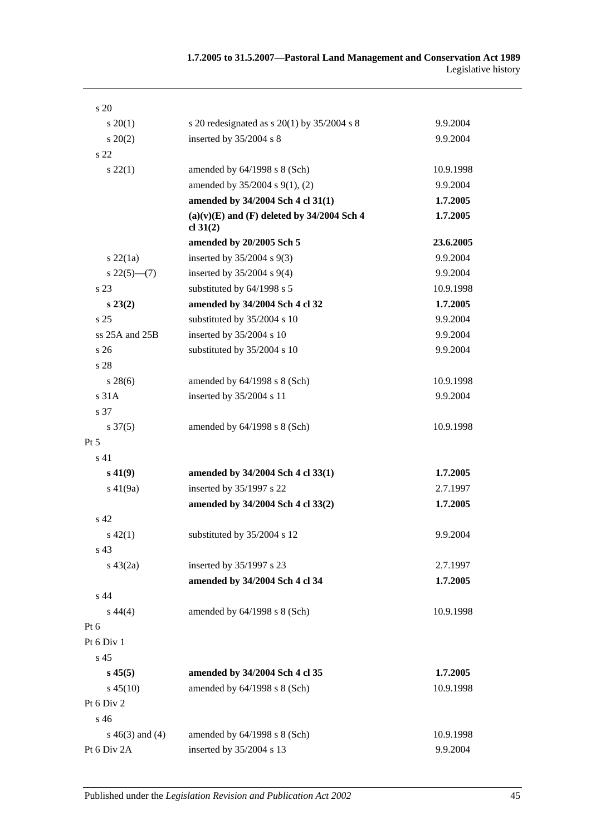| s 20                |                                                            |           |
|---------------------|------------------------------------------------------------|-----------|
| $s \, 20(1)$        | s 20 redesignated as s $20(1)$ by $35/2004$ s 8            | 9.9.2004  |
| $s\ 20(2)$          | inserted by 35/2004 s 8                                    | 9.9.2004  |
| s 22                |                                                            |           |
| $s\,22(1)$          | amended by $64/1998$ s $8$ (Sch)                           | 10.9.1998 |
|                     | amended by 35/2004 s 9(1), (2)                             | 9.9.2004  |
|                     | amended by 34/2004 Sch 4 cl 31(1)                          | 1.7.2005  |
|                     | $(a)(v)(E)$ and $(F)$ deleted by 34/2004 Sch 4<br>cl 31(2) | 1.7.2005  |
|                     | amended by 20/2005 Sch 5                                   | 23.6.2005 |
| $s\,22(1a)$         | inserted by $35/2004$ s $9(3)$                             | 9.9.2004  |
| $s\,22(5)$ —(7)     | inserted by $35/2004$ s $9(4)$                             | 9.9.2004  |
| s 23                | substituted by 64/1998 s 5                                 | 10.9.1998 |
| $s\,23(2)$          | amended by 34/2004 Sch 4 cl 32                             | 1.7.2005  |
| s <sub>25</sub>     | substituted by 35/2004 s 10                                | 9.9.2004  |
| ss 25A and 25B      | inserted by 35/2004 s 10                                   | 9.9.2004  |
| s 26                | substituted by 35/2004 s 10                                | 9.9.2004  |
| s 28                |                                                            |           |
| $s\,28(6)$          | amended by $64/1998$ s $8$ (Sch)                           | 10.9.1998 |
| s 31A               | inserted by 35/2004 s 11                                   | 9.9.2004  |
| s 37                |                                                            |           |
| $s \frac{37(5)}{2}$ | amended by $64/1998$ s $8$ (Sch)                           | 10.9.1998 |
| $Pt\,5$             |                                                            |           |
| s 41                |                                                            |           |
| $s\,41(9)$          | amended by 34/2004 Sch 4 cl 33(1)                          | 1.7.2005  |
| $s\ 41(9a)$         | inserted by 35/1997 s 22                                   | 2.7.1997  |
|                     | amended by 34/2004 Sch 4 cl 33(2)                          | 1.7.2005  |
| s 42                |                                                            |           |
| $s\ 42(1)$          | substituted by 35/2004 s 12                                | 9.9.2004  |
| s 43                |                                                            |           |
| $s\ 43(2a)$         | inserted by 35/1997 s 23                                   | 2.7.1997  |
|                     | amended by 34/2004 Sch 4 cl 34                             | 1.7.2005  |
| s 44                |                                                            |           |
| $s\,44(4)$          | amended by 64/1998 s 8 (Sch)                               | 10.9.1998 |
| Pt <sub>6</sub>     |                                                            |           |
| Pt 6 Div 1          |                                                            |           |
| s 45                |                                                            |           |
| $s\,45(5)$          | amended by 34/2004 Sch 4 cl 35                             | 1.7.2005  |
| $s\,45(10)$         | amended by 64/1998 s 8 (Sch)                               | 10.9.1998 |
| Pt 6 Div 2          |                                                            |           |
| s 46                |                                                            |           |
| s $46(3)$ and $(4)$ | amended by 64/1998 s 8 (Sch)                               | 10.9.1998 |
| Pt 6 Div 2A         | inserted by 35/2004 s 13                                   | 9.9.2004  |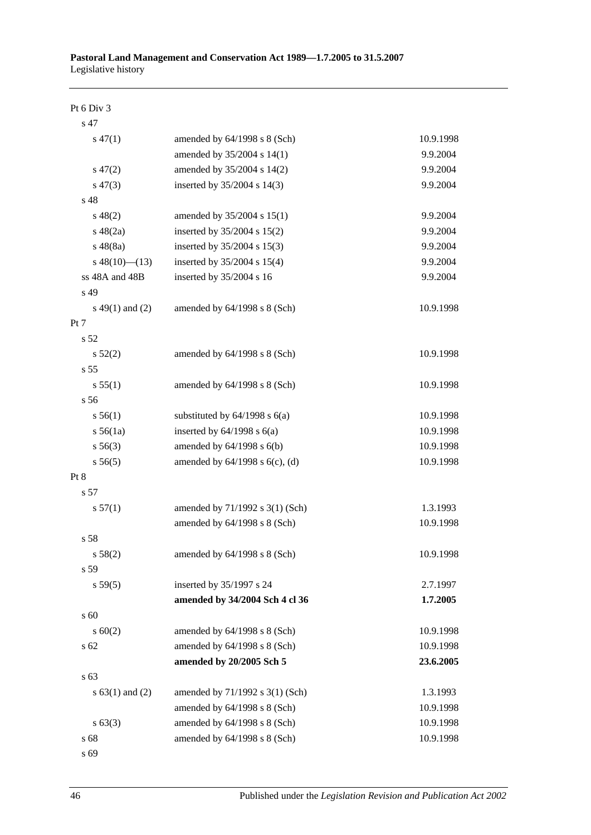#### Pt 6 Div 3

| s 47                |                                     |           |
|---------------------|-------------------------------------|-----------|
| $s\,47(1)$          | amended by 64/1998 s 8 (Sch)        | 10.9.1998 |
|                     | amended by 35/2004 s 14(1)          | 9.9.2004  |
| $s\,47(2)$          | amended by 35/2004 s 14(2)          | 9.9.2004  |
| $s\,47(3)$          | inserted by 35/2004 s 14(3)         | 9.9.2004  |
| s 48                |                                     |           |
| $s\ 48(2)$          | amended by 35/2004 s 15(1)          | 9.9.2004  |
| $s\ 48(2a)$         | inserted by 35/2004 s 15(2)         | 9.9.2004  |
| $s\ 48(8a)$         | inserted by 35/2004 s 15(3)         | 9.9.2004  |
| $s\ 48(10)$ (13)    | inserted by 35/2004 s 15(4)         | 9.9.2004  |
| ss 48A and 48B      | inserted by 35/2004 s 16            | 9.9.2004  |
| s 49                |                                     |           |
| $s\ 49(1)$ and (2)  | amended by 64/1998 s 8 (Sch)        | 10.9.1998 |
| Pt 7                |                                     |           |
| s <sub>52</sub>     |                                     |           |
| $s\,52(2)$          | amended by 64/1998 s 8 (Sch)        | 10.9.1998 |
| s 55                |                                     |           |
| s 55(1)             | amended by 64/1998 s 8 (Sch)        | 10.9.1998 |
| s 56                |                                     |           |
| s 56(1)             | substituted by $64/1998$ s $6(a)$   | 10.9.1998 |
| s 56(1a)            | inserted by $64/1998$ s $6(a)$      | 10.9.1998 |
| $s\,56(3)$          | amended by 64/1998 s 6(b)           | 10.9.1998 |
| s 56(5)             | amended by $64/1998$ s $6(c)$ , (d) | 10.9.1998 |
| Pt 8                |                                     |           |
| s 57                |                                     |           |
| s 57(1)             | amended by 71/1992 s 3(1) (Sch)     | 1.3.1993  |
|                     | amended by 64/1998 s 8 (Sch)        | 10.9.1998 |
| s 58                |                                     |           |
| s 58(2)             | amended by 64/1998 s 8 (Sch)        | 10.9.1998 |
| s 59                |                                     |           |
| s 59(5)             | inserted by 35/1997 s 24            | 2.7.1997  |
|                     | amended by 34/2004 Sch 4 cl 36      | 1.7.2005  |
| s 60                |                                     |           |
| $s \ 60(2)$         | amended by 64/1998 s 8 (Sch)        | 10.9.1998 |
| s <sub>62</sub>     | amended by $64/1998$ s $8$ (Sch)    | 10.9.1998 |
|                     | amended by 20/2005 Sch 5            | 23.6.2005 |
| s 63                |                                     |           |
| s $63(1)$ and $(2)$ | amended by 71/1992 s 3(1) (Sch)     | 1.3.1993  |
|                     | amended by 64/1998 s 8 (Sch)        | 10.9.1998 |
| $s \, 63(3)$        | amended by 64/1998 s 8 (Sch)        | 10.9.1998 |
| s 68                | amended by 64/1998 s 8 (Sch)        | 10.9.1998 |
|                     |                                     |           |